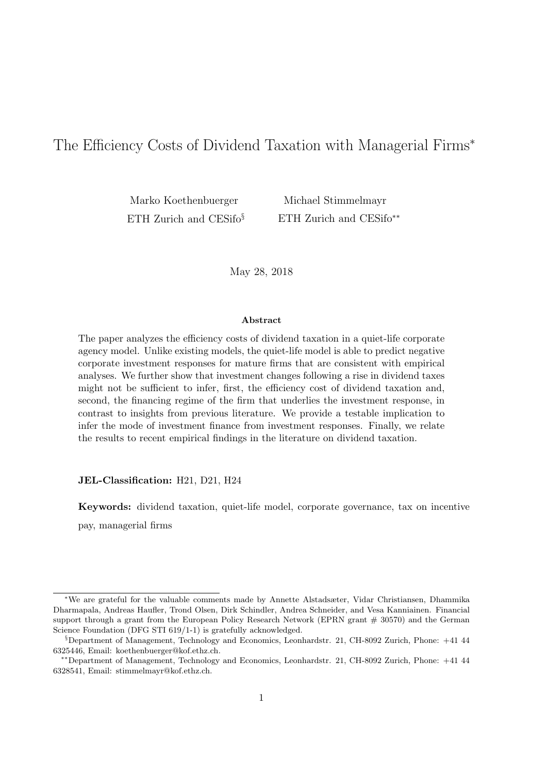# The Efficiency Costs of Dividend Taxation with Managerial Firms<sup>∗</sup>

Marko Koethenbuerger ETH Zurich and CESifo<sup>§</sup>

Michael Stimmelmayr ETH Zurich and CESifo∗∗

May 28, 2018

#### Abstract

The paper analyzes the efficiency costs of dividend taxation in a quiet-life corporate agency model. Unlike existing models, the quiet-life model is able to predict negative corporate investment responses for mature firms that are consistent with empirical analyses. We further show that investment changes following a rise in dividend taxes might not be sufficient to infer, first, the efficiency cost of dividend taxation and, second, the financing regime of the firm that underlies the investment response, in contrast to insights from previous literature. We provide a testable implication to infer the mode of investment finance from investment responses. Finally, we relate the results to recent empirical findings in the literature on dividend taxation.

JEL-Classification: H21, D21, H24

Keywords: dividend taxation, quiet-life model, corporate governance, tax on incentive

pay, managerial firms

<sup>∗</sup>We are grateful for the valuable comments made by Annette Alstadsæter, Vidar Christiansen, Dhammika Dharmapala, Andreas Haufler, Trond Olsen, Dirk Schindler, Andrea Schneider, and Vesa Kanniainen. Financial support through a grant from the European Policy Research Network (EPRN grant  $# 30570$ ) and the German Science Foundation (DFG STI 619/1-1) is gratefully acknowledged.

 $\S$ Department of Management, Technology and Economics, Leonhardstr. 21, CH-8092 Zurich, Phone:  $+41$  44 6325446, Email: koethenbuerger@kof.ethz.ch.

<sup>∗∗</sup>Department of Management, Technology and Economics, Leonhardstr. 21, CH-8092 Zurich, Phone: +41 44 6328541, Email: stimmelmayr@kof.ethz.ch.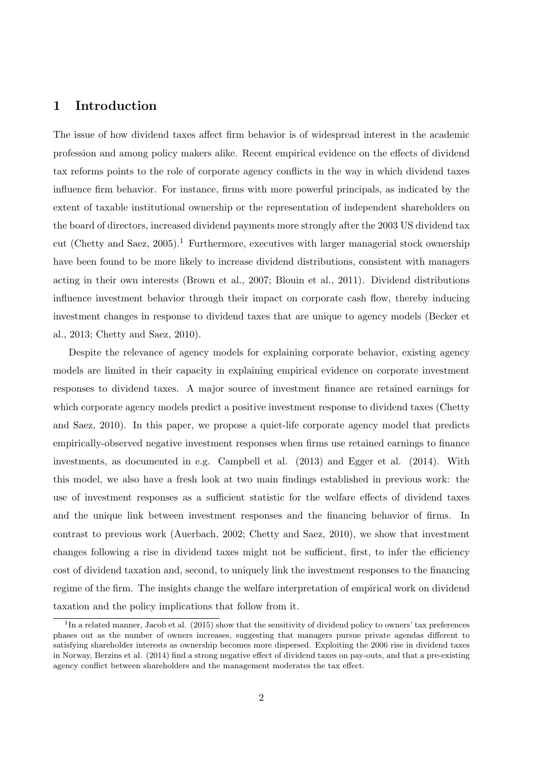# 1 Introduction

The issue of how dividend taxes affect firm behavior is of widespread interest in the academic profession and among policy makers alike. Recent empirical evidence on the effects of dividend tax reforms points to the role of corporate agency conflicts in the way in which dividend taxes influence firm behavior. For instance, firms with more powerful principals, as indicated by the extent of taxable institutional ownership or the representation of independent shareholders on the board of directors, increased dividend payments more strongly after the 2003 US dividend tax cut (Chetty and Saez,  $2005$ ).<sup>1</sup> Furthermore, executives with larger managerial stock ownership have been found to be more likely to increase dividend distributions, consistent with managers acting in their own interests (Brown et al., 2007; Blouin et al., 2011). Dividend distributions influence investment behavior through their impact on corporate cash flow, thereby inducing investment changes in response to dividend taxes that are unique to agency models (Becker et al., 2013; Chetty and Saez, 2010).

Despite the relevance of agency models for explaining corporate behavior, existing agency models are limited in their capacity in explaining empirical evidence on corporate investment responses to dividend taxes. A major source of investment finance are retained earnings for which corporate agency models predict a positive investment response to dividend taxes (Chetty and Saez, 2010). In this paper, we propose a quiet-life corporate agency model that predicts empirically-observed negative investment responses when firms use retained earnings to finance investments, as documented in e.g. Campbell et al. (2013) and Egger et al. (2014). With this model, we also have a fresh look at two main findings established in previous work: the use of investment responses as a sufficient statistic for the welfare effects of dividend taxes and the unique link between investment responses and the financing behavior of firms. In contrast to previous work (Auerbach, 2002; Chetty and Saez, 2010), we show that investment changes following a rise in dividend taxes might not be sufficient, first, to infer the efficiency cost of dividend taxation and, second, to uniquely link the investment responses to the financing regime of the firm. The insights change the welfare interpretation of empirical work on dividend taxation and the policy implications that follow from it.

<sup>&</sup>lt;sup>1</sup>In a related manner, Jacob et al. (2015) show that the sensitivity of dividend policy to owners' tax preferences phases out as the number of owners increases, suggesting that managers pursue private agendas different to satisfying shareholder interests as ownership becomes more dispersed. Exploiting the 2006 rise in dividend taxes in Norway, Berzins et al. (2014) find a strong negative effect of dividend taxes on pay-outs, and that a pre-existing agency conflict between shareholders and the management moderates the tax effect.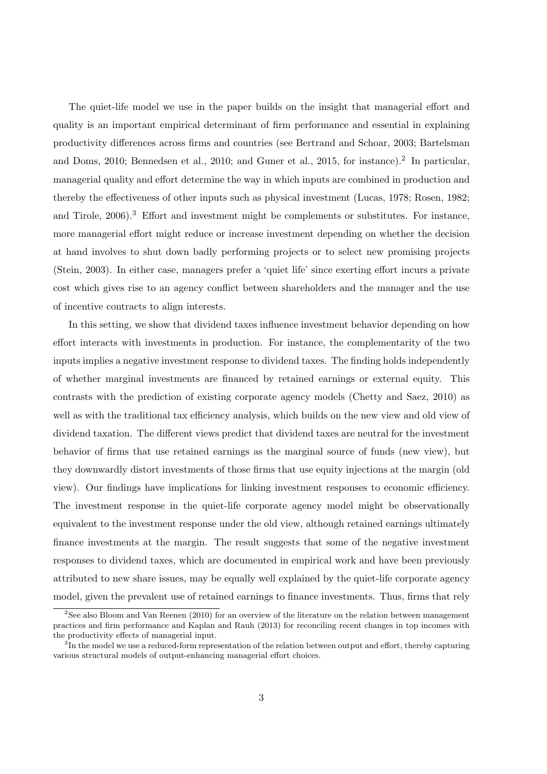The quiet-life model we use in the paper builds on the insight that managerial effort and quality is an important empirical determinant of firm performance and essential in explaining productivity differences across firms and countries (see Bertrand and Schoar, 2003; Bartelsman and Doms, 2010; Bennedsen et al., 2010; and Guner et al., 2015, for instance).<sup>2</sup> In particular, managerial quality and effort determine the way in which inputs are combined in production and thereby the effectiveness of other inputs such as physical investment (Lucas, 1978; Rosen, 1982; and Tirole, 2006).<sup>3</sup> Effort and investment might be complements or substitutes. For instance, more managerial effort might reduce or increase investment depending on whether the decision at hand involves to shut down badly performing projects or to select new promising projects (Stein, 2003). In either case, managers prefer a 'quiet life' since exerting effort incurs a private cost which gives rise to an agency conflict between shareholders and the manager and the use of incentive contracts to align interests.

In this setting, we show that dividend taxes influence investment behavior depending on how effort interacts with investments in production. For instance, the complementarity of the two inputs implies a negative investment response to dividend taxes. The finding holds independently of whether marginal investments are financed by retained earnings or external equity. This contrasts with the prediction of existing corporate agency models (Chetty and Saez, 2010) as well as with the traditional tax efficiency analysis, which builds on the new view and old view of dividend taxation. The different views predict that dividend taxes are neutral for the investment behavior of firms that use retained earnings as the marginal source of funds (new view), but they downwardly distort investments of those firms that use equity injections at the margin (old view). Our findings have implications for linking investment responses to economic efficiency. The investment response in the quiet-life corporate agency model might be observationally equivalent to the investment response under the old view, although retained earnings ultimately finance investments at the margin. The result suggests that some of the negative investment responses to dividend taxes, which are documented in empirical work and have been previously attributed to new share issues, may be equally well explained by the quiet-life corporate agency model, given the prevalent use of retained earnings to finance investments. Thus, firms that rely

 $2$ See also Bloom and Van Reenen (2010) for an overview of the literature on the relation between management practices and firm performance and Kaplan and Rauh (2013) for reconciling recent changes in top incomes with the productivity effects of managerial input.

 ${}^{3}$ In the model we use a reduced-form representation of the relation between output and effort, thereby capturing various structural models of output-enhancing managerial effort choices.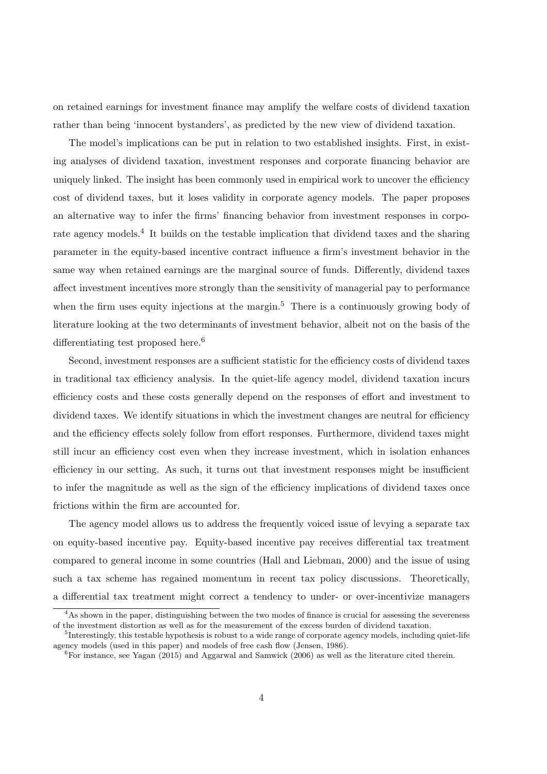on retained earnings for investment finance may amplify the welfare costs of dividend taxation rather than being 'innocent bystanders', as predicted by the new view of dividend taxation.

The model's implications can be put in relation to two established insights. First, in existing analyses of dividend taxation, investment responses and corporate financing behavior are uniquely linked. The insight has been commonly used in empirical work to uncover the efficiency cost of dividend taxes, but it loses validity in corporate agency models. The paper proposes an alternative way to infer the firms' financing behavior from investment responses in corporate agency models.<sup>4</sup> It builds on the testable implication that dividend taxes and the sharing parameter in the equity-based incentive contract influence a firm's investment behavior in the same way when retained earnings are the marginal source of funds. Differently, dividend taxes affect investment incentives more strongly than the sensitivity of managerial pay to performance when the firm uses equity injections at the margin.<sup>5</sup> There is a continuously growing body of literature looking at the two determinants of investment behavior, albeit not on the basis of the differentiating test proposed here.<sup>6</sup>

Second, investment responses are a sufficient statistic for the efficiency costs of dividend taxes in traditional tax efficiency analysis. In the quiet-life agency model, dividend taxation incurs efficiency costs and these costs generally depend on the responses of effort and investment to dividend taxes. We identify situations in which the investment changes are neutral for efficiency and the efficiency effects solely follow from effort responses. Furthermore, dividend taxes might still incur an efficiency cost even when they increase investment, which in isolation enhances efficiency in our setting. As such, it turns out that investment responses might be insufficient to infer the magnitude as well as the sign of the efficiency implications of dividend taxes once frictions within the firm are accounted for.

The agency model allows us to address the frequently voiced issue of levying a separate tax on equity-based incentive pay. Equity-based incentive pay receives differential tax treatment compared to general income in some countries (Hall and Liebman, 2000) and the issue of using such a tax scheme has regained momentum in recent tax policy discussions. Theoretically, a differential tax treatment might correct a tendency to under- or over-incentivize managers

<sup>&</sup>lt;sup>4</sup>As shown in the paper, distinguishing between the two modes of finance is crucial for assessing the severeness of the investment distortion as well as for the measurement of the excess burden of dividend taxation.

<sup>&</sup>lt;sup>5</sup>Interestingly, this testable hypothesis is robust to a wide range of corporate agency models, including quiet-life agency models (used in this paper) and models of free cash flow (Jensen, 1986).

 $6F$ or instance, see Yagan (2015) and Aggarwal and Samwick (2006) as well as the literature cited therein.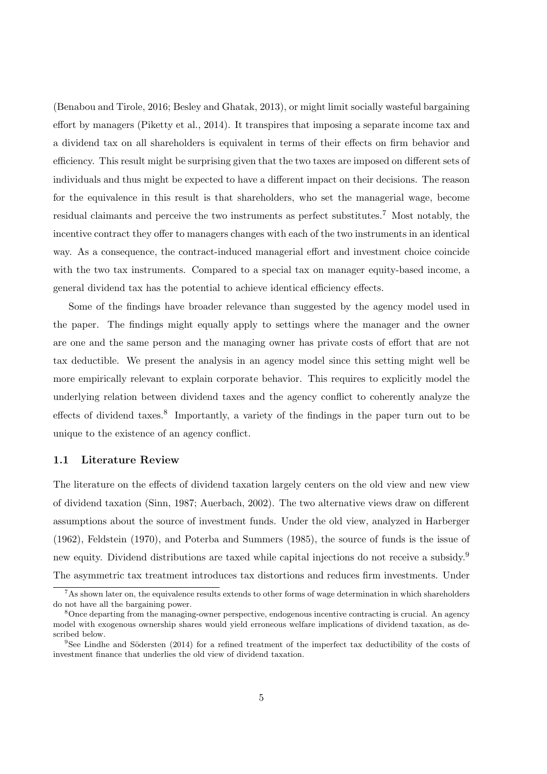(Benabou and Tirole, 2016; Besley and Ghatak, 2013), or might limit socially wasteful bargaining effort by managers (Piketty et al., 2014). It transpires that imposing a separate income tax and a dividend tax on all shareholders is equivalent in terms of their effects on firm behavior and efficiency. This result might be surprising given that the two taxes are imposed on different sets of individuals and thus might be expected to have a different impact on their decisions. The reason for the equivalence in this result is that shareholders, who set the managerial wage, become residual claimants and perceive the two instruments as perfect substitutes.<sup>7</sup> Most notably, the incentive contract they offer to managers changes with each of the two instruments in an identical way. As a consequence, the contract-induced managerial effort and investment choice coincide with the two tax instruments. Compared to a special tax on manager equity-based income, a general dividend tax has the potential to achieve identical efficiency effects.

Some of the findings have broader relevance than suggested by the agency model used in the paper. The findings might equally apply to settings where the manager and the owner are one and the same person and the managing owner has private costs of effort that are not tax deductible. We present the analysis in an agency model since this setting might well be more empirically relevant to explain corporate behavior. This requires to explicitly model the underlying relation between dividend taxes and the agency conflict to coherently analyze the effects of dividend taxes.<sup>8</sup> Importantly, a variety of the findings in the paper turn out to be unique to the existence of an agency conflict.

### 1.1 Literature Review

The literature on the effects of dividend taxation largely centers on the old view and new view of dividend taxation (Sinn, 1987; Auerbach, 2002). The two alternative views draw on different assumptions about the source of investment funds. Under the old view, analyzed in Harberger (1962), Feldstein (1970), and Poterba and Summers (1985), the source of funds is the issue of new equity. Dividend distributions are taxed while capital injections do not receive a subsidy.<sup>9</sup> The asymmetric tax treatment introduces tax distortions and reduces firm investments. Under

<sup>&</sup>lt;sup>7</sup>As shown later on, the equivalence results extends to other forms of wage determination in which shareholders do not have all the bargaining power.

<sup>&</sup>lt;sup>8</sup>Once departing from the managing-owner perspective, endogenous incentive contracting is crucial. An agency model with exogenous ownership shares would yield erroneous welfare implications of dividend taxation, as described below.

 $9$ See Lindhe and Södersten (2014) for a refined treatment of the imperfect tax deductibility of the costs of investment finance that underlies the old view of dividend taxation.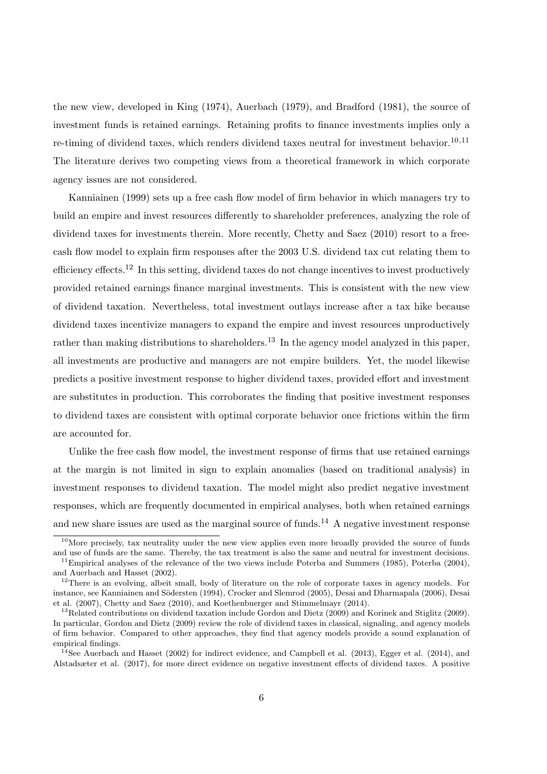the new view, developed in King (1974), Auerbach (1979), and Bradford (1981), the source of investment funds is retained earnings. Retaining profits to finance investments implies only a re-timing of dividend taxes, which renders dividend taxes neutral for investment behavior.<sup>10,11</sup> The literature derives two competing views from a theoretical framework in which corporate agency issues are not considered.

Kanniainen (1999) sets up a free cash flow model of firm behavior in which managers try to build an empire and invest resources differently to shareholder preferences, analyzing the role of dividend taxes for investments therein. More recently, Chetty and Saez (2010) resort to a freecash flow model to explain firm responses after the 2003 U.S. dividend tax cut relating them to efficiency effects.<sup>12</sup> In this setting, dividend taxes do not change incentives to invest productively provided retained earnings finance marginal investments. This is consistent with the new view of dividend taxation. Nevertheless, total investment outlays increase after a tax hike because dividend taxes incentivize managers to expand the empire and invest resources unproductively rather than making distributions to shareholders.<sup>13</sup> In the agency model analyzed in this paper, all investments are productive and managers are not empire builders. Yet, the model likewise predicts a positive investment response to higher dividend taxes, provided effort and investment are substitutes in production. This corroborates the finding that positive investment responses to dividend taxes are consistent with optimal corporate behavior once frictions within the firm are accounted for.

Unlike the free cash flow model, the investment response of firms that use retained earnings at the margin is not limited in sign to explain anomalies (based on traditional analysis) in investment responses to dividend taxation. The model might also predict negative investment responses, which are frequently documented in empirical analyses, both when retained earnings and new share issues are used as the marginal source of funds.<sup>14</sup> A negative investment response

 $10$ More precisely, tax neutrality under the new view applies even more broadly provided the source of funds and use of funds are the same. Thereby, the tax treatment is also the same and neutral for investment decisions.

<sup>&</sup>lt;sup>11</sup>Empirical analyses of the relevance of the two views include Poterba and Summers (1985), Poterba (2004), and Auerbach and Hasset (2002).

 $12$ There is an evolving, albeit small, body of literature on the role of corporate taxes in agency models. For instance, see Kanniainen and Södersten (1994), Crocker and Slemrod (2005), Desai and Dharmapala (2006), Desai et al. (2007), Chetty and Saez (2010), and Koethenbuerger and Stimmelmayr (2014).

<sup>&</sup>lt;sup>13</sup>Related contributions on dividend taxation include Gordon and Dietz (2009) and Korinek and Stiglitz (2009). In particular, Gordon and Dietz (2009) review the role of dividend taxes in classical, signaling, and agency models of firm behavior. Compared to other approaches, they find that agency models provide a sound explanation of empirical findings.

<sup>&</sup>lt;sup>14</sup>See Auerbach and Hasset (2002) for indirect evidence, and Campbell et al. (2013), Egger et al. (2014), and Alstadsæter et al. (2017), for more direct evidence on negative investment effects of dividend taxes. A positive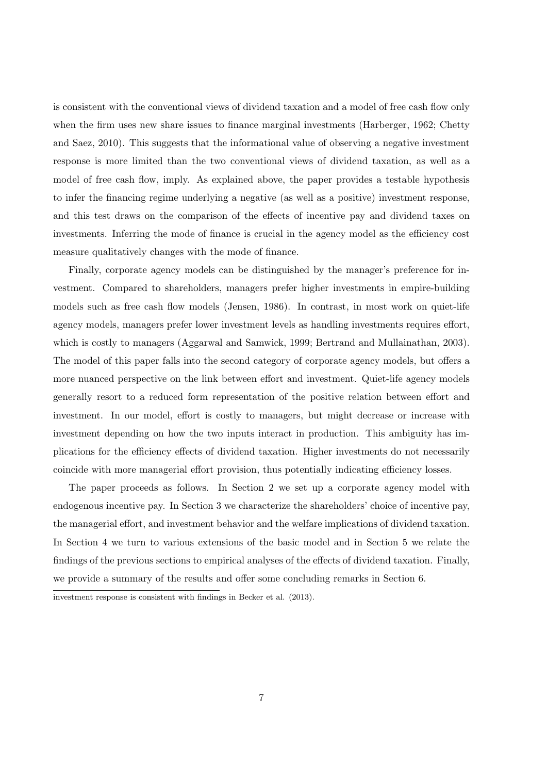is consistent with the conventional views of dividend taxation and a model of free cash flow only when the firm uses new share issues to finance marginal investments (Harberger, 1962; Chetty and Saez, 2010). This suggests that the informational value of observing a negative investment response is more limited than the two conventional views of dividend taxation, as well as a model of free cash flow, imply. As explained above, the paper provides a testable hypothesis to infer the financing regime underlying a negative (as well as a positive) investment response, and this test draws on the comparison of the effects of incentive pay and dividend taxes on investments. Inferring the mode of finance is crucial in the agency model as the efficiency cost measure qualitatively changes with the mode of finance.

Finally, corporate agency models can be distinguished by the manager's preference for investment. Compared to shareholders, managers prefer higher investments in empire-building models such as free cash flow models (Jensen, 1986). In contrast, in most work on quiet-life agency models, managers prefer lower investment levels as handling investments requires effort, which is costly to managers (Aggarwal and Samwick, 1999; Bertrand and Mullainathan, 2003). The model of this paper falls into the second category of corporate agency models, but offers a more nuanced perspective on the link between effort and investment. Quiet-life agency models generally resort to a reduced form representation of the positive relation between effort and investment. In our model, effort is costly to managers, but might decrease or increase with investment depending on how the two inputs interact in production. This ambiguity has implications for the efficiency effects of dividend taxation. Higher investments do not necessarily coincide with more managerial effort provision, thus potentially indicating efficiency losses.

The paper proceeds as follows. In Section 2 we set up a corporate agency model with endogenous incentive pay. In Section 3 we characterize the shareholders' choice of incentive pay, the managerial effort, and investment behavior and the welfare implications of dividend taxation. In Section 4 we turn to various extensions of the basic model and in Section 5 we relate the findings of the previous sections to empirical analyses of the effects of dividend taxation. Finally, we provide a summary of the results and offer some concluding remarks in Section 6.

investment response is consistent with findings in Becker et al. (2013).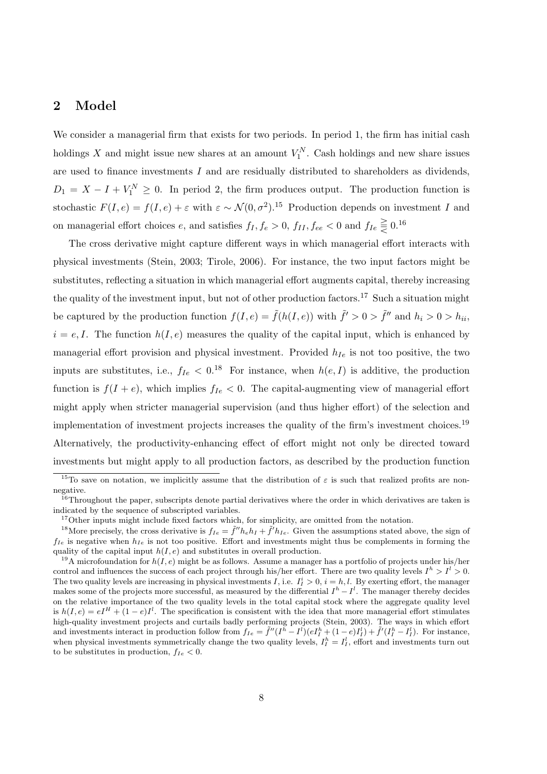# 2 Model

We consider a managerial firm that exists for two periods. In period 1, the firm has initial cash holdings X and might issue new shares at an amount  $V_1^N$ . Cash holdings and new share issues are used to finance investments I and are residually distributed to shareholders as dividends,  $D_1 = X - I + V_1^N \geq 0$ . In period 2, the firm produces output. The production function is stochastic  $F(I, e) = f(I, e) + \varepsilon$  with  $\varepsilon \sim \mathcal{N}(0, \sigma^2)$ .<sup>15</sup> Production depends on investment I and on managerial effort choices e, and satisfies  $f_I, f_e > 0$ ,  $f_{II}, f_{ee} < 0$  and  $f_{Ie} \geq 0.16$ 

The cross derivative might capture different ways in which managerial effort interacts with physical investments (Stein, 2003; Tirole, 2006). For instance, the two input factors might be substitutes, reflecting a situation in which managerial effort augments capital, thereby increasing the quality of the investment input, but not of other production factors.<sup>17</sup> Such a situation might be captured by the production function  $f(I, e) = \tilde{f}(h(I, e))$  with  $\tilde{f}' > 0 > \tilde{f}''$  and  $h_i > 0 > h_{ii}$ ,  $i = e, I$ . The function  $h(I, e)$  measures the quality of the capital input, which is enhanced by managerial effort provision and physical investment. Provided  $h_{Ie}$  is not too positive, the two inputs are substitutes, i.e.,  $f_{Ie} < 0.^{18}$  For instance, when  $h(e, I)$  is additive, the production function is  $f(I + e)$ , which implies  $f_{Ie} < 0$ . The capital-augmenting view of managerial effort might apply when stricter managerial supervision (and thus higher effort) of the selection and implementation of investment projects increases the quality of the firm's investment choices.<sup>19</sup> Alternatively, the productivity-enhancing effect of effort might not only be directed toward investments but might apply to all production factors, as described by the production function

<sup>&</sup>lt;sup>15</sup>To save on notation, we implicitly assume that the distribution of  $\varepsilon$  is such that realized profits are nonnegative.

<sup>&</sup>lt;sup>16</sup>Throughout the paper, subscripts denote partial derivatives where the order in which derivatives are taken is indicated by the sequence of subscripted variables.

<sup>&</sup>lt;sup>17</sup>Other inputs might include fixed factors which, for simplicity, are omitted from the notation.

<sup>&</sup>lt;sup>18</sup>More precisely, the cross derivative is  $f_{Ie} = \tilde{f}'' h_e h_I + \tilde{f}' h_{Ie}$ . Given the assumptions stated above, the sign of  $f_{Ie}$  is negative when  $h_{Ie}$  is not too positive. Effort and investments might thus be complements in forming the quality of the capital input  $h(I, e)$  and substitutes in overall production.

<sup>&</sup>lt;sup>19</sup>A microfoundation for  $h(I, e)$  might be as follows. Assume a manager has a portfolio of projects under his/her control and influences the success of each project through his/her effort. There are two quality levels  $I^h > I^l > 0$ . The two quality levels are increasing in physical investments I, i.e.  $I_I^i > 0$ ,  $i = h, l$ . By exerting effort, the manager makes some of the projects more successful, as measured by the differential  $I^h - I^l$ . The manager thereby decides on the relative importance of the two quality levels in the total capital stock where the aggregate quality level is  $h(I, e) = eI^H + (1 - e)I^I$ . The specification is consistent with the idea that more managerial effort stimulates high-quality investment projects and curtails badly performing projects (Stein, 2003). The ways in which effort and investments interact in production follow from  $f_{Ie} = \tilde{f}''(I^{\bar{h}} - I^{\bar{l}})(eI^{\bar{h}}_I + (1 - e)I^{\bar{l}}_I) + \tilde{f}'(I^{\bar{h}}_I - I^{\bar{l}}_I)$ . For instance, when physical investments symmetrically change the two quality levels,  $I_I^h = I_I^l$ , effort and investments turn out to be substitutes in production,  $f_{Ie} < 0$ .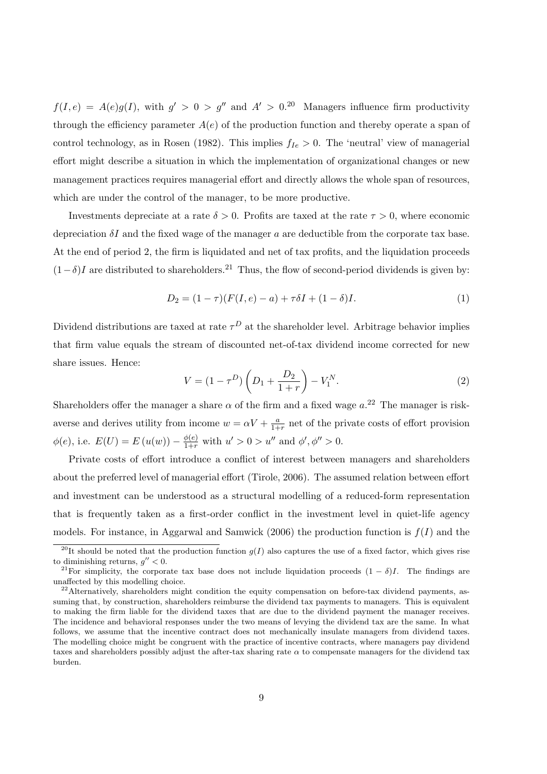$f(I, e) = A(e)g(I)$ , with  $g' > 0 > g''$  and  $A' > 0$ .<sup>20</sup> Managers influence firm productivity through the efficiency parameter  $A(e)$  of the production function and thereby operate a span of control technology, as in Rosen (1982). This implies  $f_{Ie} > 0$ . The 'neutral' view of managerial effort might describe a situation in which the implementation of organizational changes or new management practices requires managerial effort and directly allows the whole span of resources, which are under the control of the manager, to be more productive.

Investments depreciate at a rate  $\delta > 0$ . Profits are taxed at the rate  $\tau > 0$ , where economic depreciation  $\delta I$  and the fixed wage of the manager a are deductible from the corporate tax base. At the end of period 2, the firm is liquidated and net of tax profits, and the liquidation proceeds  $(1-\delta)I$  are distributed to shareholders.<sup>21</sup> Thus, the flow of second-period dividends is given by:

$$
D_2 = (1 - \tau)(F(I, e) - a) + \tau \delta I + (1 - \delta)I.
$$
\n(1)

Dividend distributions are taxed at rate  $\tau^D$  at the shareholder level. Arbitrage behavior implies that firm value equals the stream of discounted net-of-tax dividend income corrected for new share issues. Hence:

$$
V = (1 - \tau^D) \left( D_1 + \frac{D_2}{1 + r} \right) - V_1^N. \tag{2}
$$

Shareholders offer the manager a share  $\alpha$  of the firm and a fixed wage  $a^{22}$ . The manager is riskaverse and derives utility from income  $w = \alpha V + \frac{a}{1 + a}$  $\frac{a}{1+r}$  net of the private costs of effort provision  $\phi(e)$ , i.e.  $E(U) = E(u(w)) - \frac{\phi(e)}{1+r}$  with  $u' > 0 > u''$  and  $\phi', \phi'' > 0$ .

Private costs of effort introduce a conflict of interest between managers and shareholders about the preferred level of managerial effort (Tirole, 2006). The assumed relation between effort and investment can be understood as a structural modelling of a reduced-form representation that is frequently taken as a first-order conflict in the investment level in quiet-life agency models. For instance, in Aggarwal and Samwick (2006) the production function is  $f(I)$  and the

<sup>&</sup>lt;sup>20</sup>It should be noted that the production function  $g(I)$  also captures the use of a fixed factor, which gives rise to diminishing returns,  $g'' < 0$ .

<sup>&</sup>lt;sup>21</sup>For simplicity, the corporate tax base does not include liquidation proceeds  $(1 - \delta)I$ . The findings are unaffected by this modelling choice.

 $^{22}$ Alternatively, shareholders might condition the equity compensation on before-tax dividend payments, assuming that, by construction, shareholders reimburse the dividend tax payments to managers. This is equivalent to making the firm liable for the dividend taxes that are due to the dividend payment the manager receives. The incidence and behavioral responses under the two means of levying the dividend tax are the same. In what follows, we assume that the incentive contract does not mechanically insulate managers from dividend taxes. The modelling choice might be congruent with the practice of incentive contracts, where managers pay dividend taxes and shareholders possibly adjust the after-tax sharing rate  $\alpha$  to compensate managers for the dividend tax burden.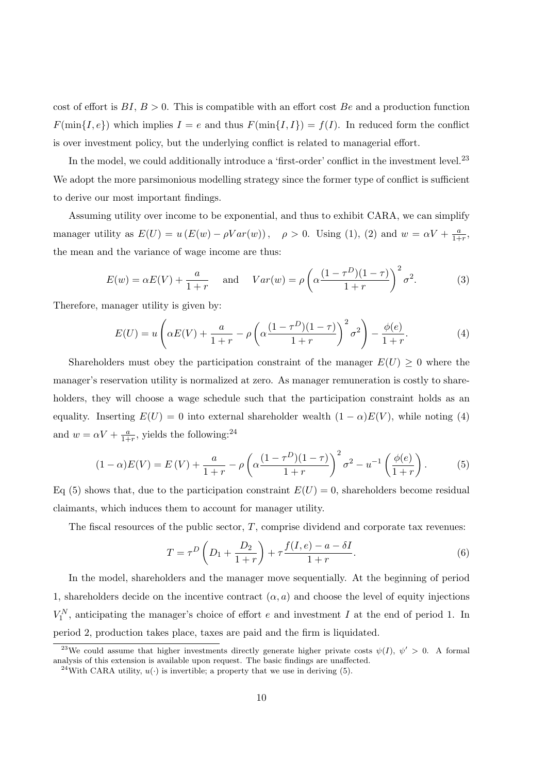cost of effort is  $BI, B > 0$ . This is compatible with an effort cost Be and a production function  $F(\min\{I, e\})$  which implies  $I = e$  and thus  $F(\min\{I, I\}) = f(I)$ . In reduced form the conflict is over investment policy, but the underlying conflict is related to managerial effort.

In the model, we could additionally introduce a 'first-order' conflict in the investment level.<sup>23</sup> We adopt the more parsimonious modelling strategy since the former type of conflict is sufficient to derive our most important findings.

Assuming utility over income to be exponential, and thus to exhibit CARA, we can simplify manager utility as  $E(U) = u(E(w) - \rho Var(w))$ ,  $\rho > 0$ . Using (1), (2) and  $w = \alpha V + \frac{a}{1 + \alpha V}$  $\frac{a}{1+r}$ the mean and the variance of wage income are thus:

$$
E(w) = \alpha E(V) + \frac{a}{1+r} \quad \text{and} \quad Var(w) = \rho \left( \alpha \frac{(1-\tau^D)(1-\tau)}{1+r} \right)^2 \sigma^2.
$$
 (3)

Therefore, manager utility is given by:

$$
E(U) = u\left(\alpha E(V) + \frac{a}{1+r} - \rho\left(\alpha \frac{(1-\tau^D)(1-\tau)}{1+r}\right)^2 \sigma^2\right) - \frac{\phi(e)}{1+r}.\tag{4}
$$

Shareholders must obey the participation constraint of the manager  $E(U) \geq 0$  where the manager's reservation utility is normalized at zero. As manager remuneration is costly to shareholders, they will choose a wage schedule such that the participation constraint holds as an equality. Inserting  $E(U) = 0$  into external shareholder wealth  $(1 - \alpha)E(V)$ , while noting (4) and  $w = \alpha V + \frac{a}{1+}$  $\frac{a}{1+r}$ , yields the following:<sup>24</sup>

$$
(1 - \alpha)E(V) = E(V) + \frac{a}{1 + r} - \rho \left( \alpha \frac{(1 - \tau^D)(1 - \tau)}{1 + r} \right)^2 \sigma^2 - u^{-1} \left( \frac{\phi(e)}{1 + r} \right). \tag{5}
$$

Eq (5) shows that, due to the participation constraint  $E(U) = 0$ , shareholders become residual claimants, which induces them to account for manager utility.

The fiscal resources of the public sector,  $T$ , comprise dividend and corporate tax revenues:

$$
T = \tau^{D} \left( D_{1} + \frac{D_{2}}{1+r} \right) + \tau \frac{f(I, e) - a - \delta I}{1+r}.
$$
 (6)

In the model, shareholders and the manager move sequentially. At the beginning of period 1, shareholders decide on the incentive contract  $(\alpha, a)$  and choose the level of equity injections  $V_1^N$ , anticipating the manager's choice of effort e and investment I at the end of period 1. In period 2, production takes place, taxes are paid and the firm is liquidated.

<sup>&</sup>lt;sup>23</sup>We could assume that higher investments directly generate higher private costs  $\psi(I)$ ,  $\psi' > 0$ . A formal analysis of this extension is available upon request. The basic findings are unaffected.

<sup>&</sup>lt;sup>24</sup>With CARA utility,  $u(\cdot)$  is invertible; a property that we use in deriving (5).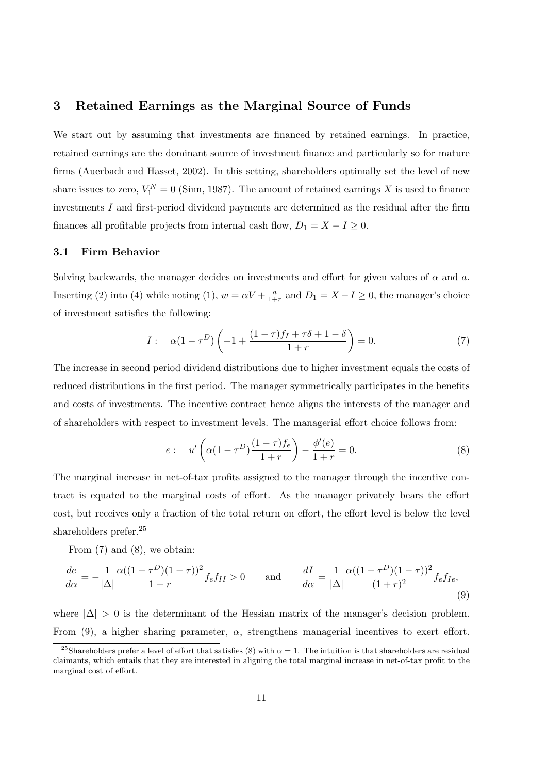## 3 Retained Earnings as the Marginal Source of Funds

We start out by assuming that investments are financed by retained earnings. In practice, retained earnings are the dominant source of investment finance and particularly so for mature firms (Auerbach and Hasset, 2002). In this setting, shareholders optimally set the level of new share issues to zero,  $V_1^N = 0$  (Sinn, 1987). The amount of retained earnings X is used to finance investments  $I$  and first-period dividend payments are determined as the residual after the firm finances all profitable projects from internal cash flow,  $D_1 = X - I \geq 0$ .

#### 3.1 Firm Behavior

Solving backwards, the manager decides on investments and effort for given values of  $\alpha$  and  $a$ . Inserting (2) into (4) while noting (1),  $w = \alpha V + \frac{a}{1+}$  $\frac{a}{1+r}$  and  $D_1 = X - I \geq 0$ , the manager's choice of investment satisfies the following:

$$
I: \quad \alpha(1 - \tau^D) \left( -1 + \frac{(1 - \tau)f_I + \tau \delta + 1 - \delta}{1 + r} \right) = 0. \tag{7}
$$

The increase in second period dividend distributions due to higher investment equals the costs of reduced distributions in the first period. The manager symmetrically participates in the benefits and costs of investments. The incentive contract hence aligns the interests of the manager and of shareholders with respect to investment levels. The managerial effort choice follows from:

$$
e: \quad u' \left( \alpha (1 - \tau^D) \frac{(1 - \tau) f_e}{1 + r} \right) - \frac{\phi'(e)}{1 + r} = 0. \tag{8}
$$

The marginal increase in net-of-tax profits assigned to the manager through the incentive contract is equated to the marginal costs of effort. As the manager privately bears the effort cost, but receives only a fraction of the total return on effort, the effort level is below the level shareholders prefer.<sup>25</sup>

From (7) and (8), we obtain:

$$
\frac{de}{d\alpha} = -\frac{1}{|\Delta|} \frac{\alpha((1-\tau^D)(1-\tau))^2}{1+r} f_e f_{II} > 0 \quad \text{and} \quad \frac{dI}{d\alpha} = \frac{1}{|\Delta|} \frac{\alpha((1-\tau^D)(1-\tau))^2}{(1+r)^2} f_e f_{Ie},\tag{9}
$$

where  $|\Delta| > 0$  is the determinant of the Hessian matrix of the manager's decision problem. From (9), a higher sharing parameter,  $\alpha$ , strengthens managerial incentives to exert effort.

<sup>&</sup>lt;sup>25</sup>Shareholders prefer a level of effort that satisfies (8) with  $\alpha = 1$ . The intuition is that shareholders are residual claimants, which entails that they are interested in aligning the total marginal increase in net-of-tax profit to the marginal cost of effort.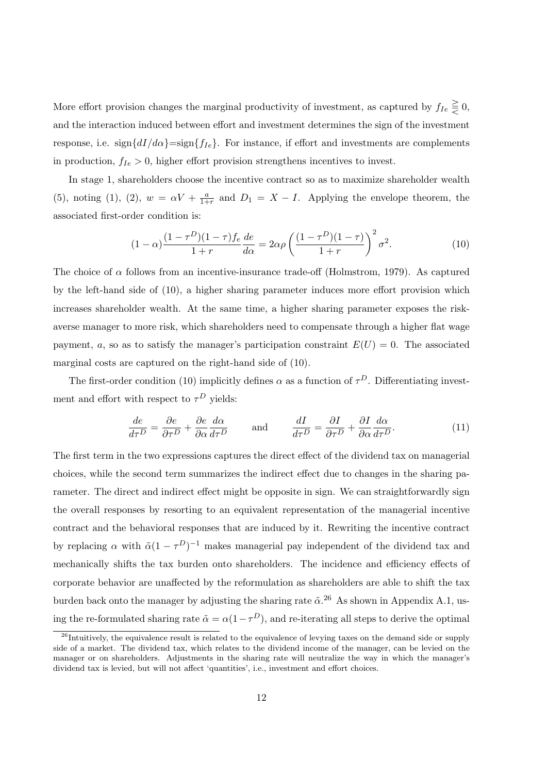More effort provision changes the marginal productivity of investment, as captured by  $f_{Ie} \geq 0$ , and the interaction induced between effort and investment determines the sign of the investment response, i.e. sign $\{dI/d\alpha\}$ =sign $\{f_{Ie}\}$ . For instance, if effort and investments are complements in production,  $f_{Ie} > 0$ , higher effort provision strengthens incentives to invest.

In stage 1, shareholders choose the incentive contract so as to maximize shareholder wealth (5), noting (1), (2),  $w = \alpha V + \frac{a}{1+}$  $\frac{a}{1+r}$  and  $D_1 = X - I$ . Applying the envelope theorem, the associated first-order condition is:

$$
(1 - \alpha) \frac{(1 - \tau^D)(1 - \tau)f_e}{1 + r} \frac{de}{d\alpha} = 2\alpha\rho \left(\frac{(1 - \tau^D)(1 - \tau)}{1 + r}\right)^2 \sigma^2.
$$
 (10)

The choice of  $\alpha$  follows from an incentive-insurance trade-off (Holmstrom, 1979). As captured by the left-hand side of (10), a higher sharing parameter induces more effort provision which increases shareholder wealth. At the same time, a higher sharing parameter exposes the riskaverse manager to more risk, which shareholders need to compensate through a higher flat wage payment, a, so as to satisfy the manager's participation constraint  $E(U) = 0$ . The associated marginal costs are captured on the right-hand side of (10).

The first-order condition (10) implicitly defines  $\alpha$  as a function of  $\tau^D$ . Differentiating investment and effort with respect to  $\tau^D$  yields:

$$
\frac{de}{d\tau^D} = \frac{\partial e}{\partial \tau^D} + \frac{\partial e}{\partial \alpha} \frac{d\alpha}{d\tau^D} \quad \text{and} \quad \frac{dI}{d\tau^D} = \frac{\partial I}{\partial \tau^D} + \frac{\partial I}{\partial \alpha} \frac{d\alpha}{d\tau^D}.
$$
 (11)

The first term in the two expressions captures the direct effect of the dividend tax on managerial choices, while the second term summarizes the indirect effect due to changes in the sharing parameter. The direct and indirect effect might be opposite in sign. We can straightforwardly sign the overall responses by resorting to an equivalent representation of the managerial incentive contract and the behavioral responses that are induced by it. Rewriting the incentive contract by replacing  $\alpha$  with  $\tilde{\alpha}(1-\tau^D)^{-1}$  makes managerial pay independent of the dividend tax and mechanically shifts the tax burden onto shareholders. The incidence and efficiency effects of corporate behavior are unaffected by the reformulation as shareholders are able to shift the tax burden back onto the manager by adjusting the sharing rate  $\tilde{\alpha}$ .<sup>26</sup> As shown in Appendix A.1, using the re-formulated sharing rate  $\tilde{\alpha} = \alpha(1 - \tau^D)$ , and re-iterating all steps to derive the optimal

 $^{26}$ Intuitively, the equivalence result is related to the equivalence of levying taxes on the demand side or supply side of a market. The dividend tax, which relates to the dividend income of the manager, can be levied on the manager or on shareholders. Adjustments in the sharing rate will neutralize the way in which the manager's dividend tax is levied, but will not affect 'quantities', i.e., investment and effort choices.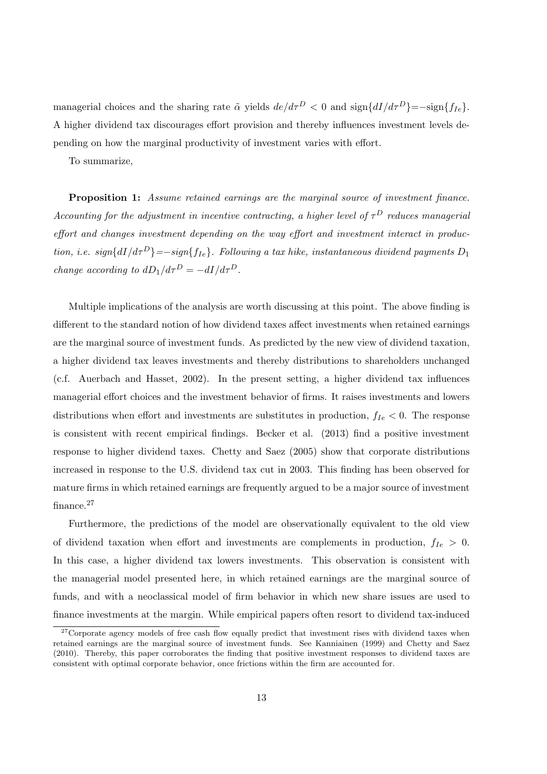managerial choices and the sharing rate  $\tilde{\alpha}$  yields  $de/d\tau^D < 0$  and  $\text{sign}\{dI/d\tau^D\} = -\text{sign}\{f_{Ie}\}.$ A higher dividend tax discourages effort provision and thereby influences investment levels depending on how the marginal productivity of investment varies with effort.

To summarize,

Proposition 1: Assume retained earnings are the marginal source of investment finance. Accounting for the adjustment in incentive contracting, a higher level of  $\tau^D$  reduces managerial effort and changes investment depending on the way effort and investment interact in production, i.e. sign ${dI/d\tau^D}$ }=−sign{ $f_{Ie}$ }. Following a tax hike, instantaneous dividend payments  $D_1$ change according to  $dD_1/d\tau^D = -dI/d\tau^D$ .

Multiple implications of the analysis are worth discussing at this point. The above finding is different to the standard notion of how dividend taxes affect investments when retained earnings are the marginal source of investment funds. As predicted by the new view of dividend taxation, a higher dividend tax leaves investments and thereby distributions to shareholders unchanged (c.f. Auerbach and Hasset, 2002). In the present setting, a higher dividend tax influences managerial effort choices and the investment behavior of firms. It raises investments and lowers distributions when effort and investments are substitutes in production,  $f_{Ie} < 0$ . The response is consistent with recent empirical findings. Becker et al. (2013) find a positive investment response to higher dividend taxes. Chetty and Saez (2005) show that corporate distributions increased in response to the U.S. dividend tax cut in 2003. This finding has been observed for mature firms in which retained earnings are frequently argued to be a major source of investment finance.<sup>27</sup>

Furthermore, the predictions of the model are observationally equivalent to the old view of dividend taxation when effort and investments are complements in production,  $f_{Ie} > 0$ . In this case, a higher dividend tax lowers investments. This observation is consistent with the managerial model presented here, in which retained earnings are the marginal source of funds, and with a neoclassical model of firm behavior in which new share issues are used to finance investments at the margin. While empirical papers often resort to dividend tax-induced

 $27$ Corporate agency models of free cash flow equally predict that investment rises with dividend taxes when retained earnings are the marginal source of investment funds. See Kanniainen (1999) and Chetty and Saez (2010). Thereby, this paper corroborates the finding that positive investment responses to dividend taxes are consistent with optimal corporate behavior, once frictions within the firm are accounted for.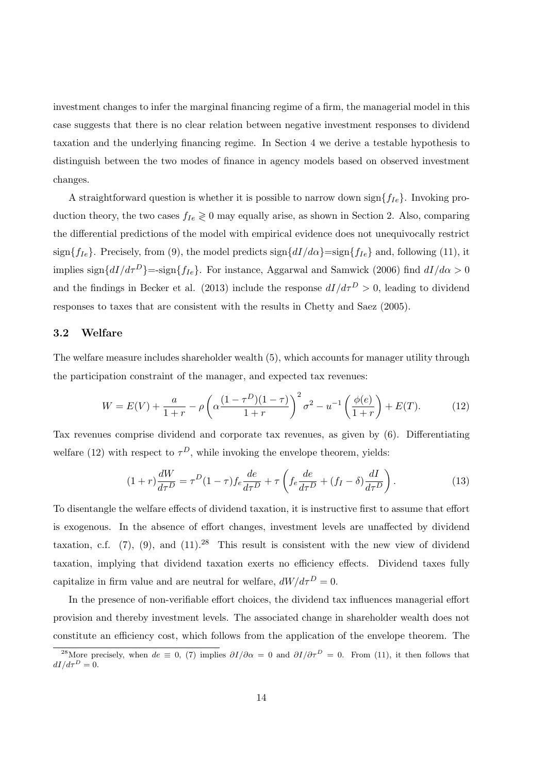investment changes to infer the marginal financing regime of a firm, the managerial model in this case suggests that there is no clear relation between negative investment responses to dividend taxation and the underlying financing regime. In Section 4 we derive a testable hypothesis to distinguish between the two modes of finance in agency models based on observed investment changes.

A straightforward question is whether it is possible to narrow down sign ${f_{Ie}}$ . Invoking production theory, the two cases  $f_{Ie} \geq 0$  may equally arise, as shown in Section 2. Also, comparing the differential predictions of the model with empirical evidence does not unequivocally restrict sign ${f_{Ie}}$ . Precisely, from (9), the model predicts sign ${dI/d\alpha}$ =sign ${f_{Ie}}$  and, following (11), it implies sign $\{dI/d\tau^D\}$ =-sign $\{f_{Ie}\}\$ . For instance, Aggarwal and Samwick (2006) find  $dI/d\alpha > 0$ and the findings in Becker et al. (2013) include the response  $dI/d\tau^D > 0$ , leading to dividend responses to taxes that are consistent with the results in Chetty and Saez (2005).

#### 3.2 Welfare

The welfare measure includes shareholder wealth (5), which accounts for manager utility through the participation constraint of the manager, and expected tax revenues:

$$
W = E(V) + \frac{a}{1+r} - \rho \left( \alpha \frac{(1-\tau^D)(1-\tau)}{1+r} \right)^2 \sigma^2 - u^{-1} \left( \frac{\phi(e)}{1+r} \right) + E(T). \tag{12}
$$

Tax revenues comprise dividend and corporate tax revenues, as given by (6). Differentiating welfare (12) with respect to  $\tau^D$ , while invoking the envelope theorem, yields:

$$
(1+r)\frac{dW}{d\tau^D} = \tau^D (1-\tau) f_e \frac{de}{d\tau^D} + \tau \left( f_e \frac{de}{d\tau^D} + (f_I - \delta) \frac{dI}{d\tau^D} \right). \tag{13}
$$

To disentangle the welfare effects of dividend taxation, it is instructive first to assume that effort is exogenous. In the absence of effort changes, investment levels are unaffected by dividend taxation, c.f.  $(7)$ ,  $(9)$ , and  $(11).^{28}$  This result is consistent with the new view of dividend taxation, implying that dividend taxation exerts no efficiency effects. Dividend taxes fully capitalize in firm value and are neutral for welfare,  $dW/d\tau^D = 0$ .

In the presence of non-verifiable effort choices, the dividend tax influences managerial effort provision and thereby investment levels. The associated change in shareholder wealth does not constitute an efficiency cost, which follows from the application of the envelope theorem. The

<sup>&</sup>lt;sup>28</sup>More precisely, when  $de \equiv 0$ , (7) implies  $\partial I/\partial \alpha = 0$  and  $\partial I/\partial \tau^D = 0$ . From (11), it then follows that  $dI/d\tau^D = 0.$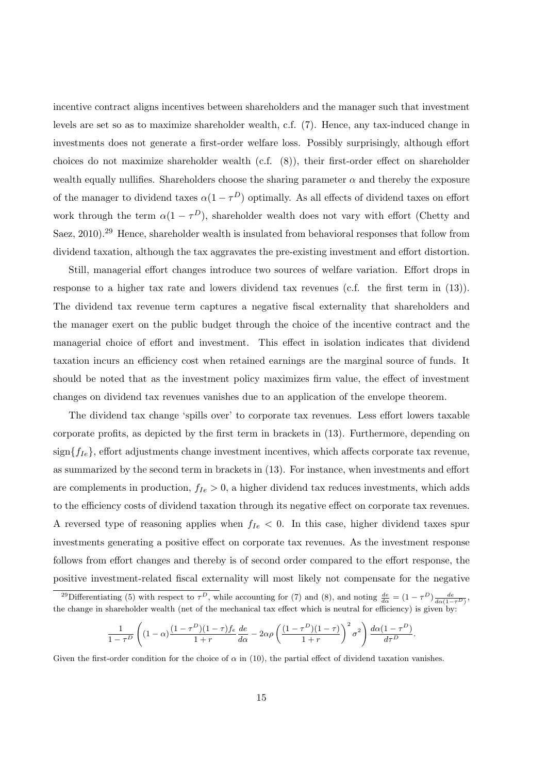incentive contract aligns incentives between shareholders and the manager such that investment levels are set so as to maximize shareholder wealth, c.f. (7). Hence, any tax-induced change in investments does not generate a first-order welfare loss. Possibly surprisingly, although effort choices do not maximize shareholder wealth (c.f. (8)), their first-order effect on shareholder wealth equally nullifies. Shareholders choose the sharing parameter  $\alpha$  and thereby the exposure of the manager to dividend taxes  $\alpha(1-\tau^D)$  optimally. As all effects of dividend taxes on effort work through the term  $\alpha(1-\tau^D)$ , shareholder wealth does not vary with effort (Chetty and Saez, 2010).<sup>29</sup> Hence, shareholder wealth is insulated from behavioral responses that follow from dividend taxation, although the tax aggravates the pre-existing investment and effort distortion.

Still, managerial effort changes introduce two sources of welfare variation. Effort drops in response to a higher tax rate and lowers dividend tax revenues (c.f. the first term in (13)). The dividend tax revenue term captures a negative fiscal externality that shareholders and the manager exert on the public budget through the choice of the incentive contract and the managerial choice of effort and investment. This effect in isolation indicates that dividend taxation incurs an efficiency cost when retained earnings are the marginal source of funds. It should be noted that as the investment policy maximizes firm value, the effect of investment changes on dividend tax revenues vanishes due to an application of the envelope theorem.

The dividend tax change 'spills over' to corporate tax revenues. Less effort lowers taxable corporate profits, as depicted by the first term in brackets in (13). Furthermore, depending on  $sign{f_{Ie}}$ , effort adjustments change investment incentives, which affects corporate tax revenue, as summarized by the second term in brackets in (13). For instance, when investments and effort are complements in production,  $f_{Ie} > 0$ , a higher dividend tax reduces investments, which adds to the efficiency costs of dividend taxation through its negative effect on corporate tax revenues. A reversed type of reasoning applies when  $f_{Ie}$  < 0. In this case, higher dividend taxes spur investments generating a positive effect on corporate tax revenues. As the investment response follows from effort changes and thereby is of second order compared to the effort response, the positive investment-related fiscal externality will most likely not compensate for the negative

$$
\frac{1}{1-\tau^D}\left((1-\alpha)\frac{(1-\tau^D)(1-\tau)f_e}{1+r}\frac{de}{d\alpha}-2\alpha\rho\left(\frac{(1-\tau^D)(1-\tau)}{1+r}\right)^2\sigma^2\right)\frac{d\alpha(1-\tau^D)}{d\tau^D}.
$$

Given the first-order condition for the choice of  $\alpha$  in (10), the partial effect of dividend taxation vanishes.

<sup>&</sup>lt;sup>29</sup>Differentiating (5) with respect to  $\tau^D$ , while accounting for (7) and (8), and noting  $\frac{de}{d\alpha} = (1 - \tau^D) \frac{de}{d\alpha(1 - \tau^D)}$ , the change in shareholder wealth (net of the mechanical tax effect which is neutral for efficiency) is given by: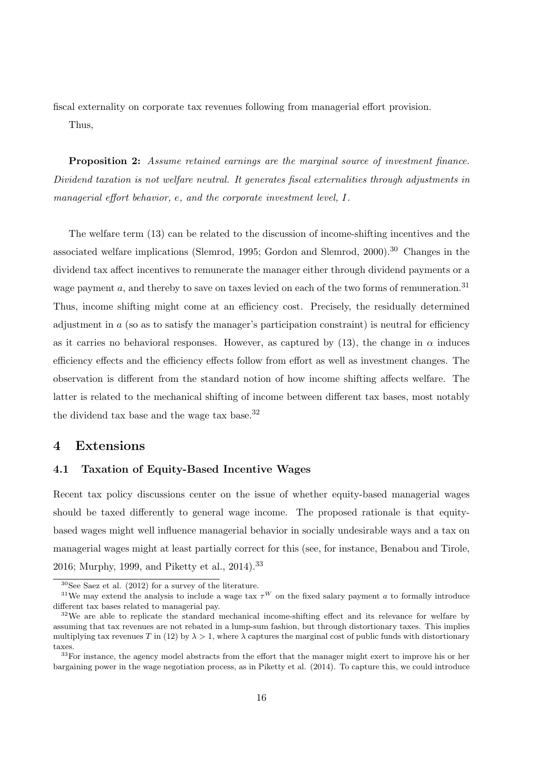fiscal externality on corporate tax revenues following from managerial effort provision.

Thus,

**Proposition 2:** Assume retained earnings are the marginal source of investment finance. Dividend taxation is not welfare neutral. It generates fiscal externalities through adjustments in managerial effort behavior, e, and the corporate investment level, I.

The welfare term (13) can be related to the discussion of income-shifting incentives and the associated welfare implications (Slemrod, 1995; Gordon and Slemrod, 2000).<sup>30</sup> Changes in the dividend tax affect incentives to remunerate the manager either through dividend payments or a wage payment a, and thereby to save on taxes levied on each of the two forms of remuneration.<sup>31</sup> Thus, income shifting might come at an efficiency cost. Precisely, the residually determined adjustment in  $\alpha$  (so as to satisfy the manager's participation constraint) is neutral for efficiency as it carries no behavioral responses. However, as captured by (13), the change in  $\alpha$  induces efficiency effects and the efficiency effects follow from effort as well as investment changes. The observation is different from the standard notion of how income shifting affects welfare. The latter is related to the mechanical shifting of income between different tax bases, most notably the dividend tax base and the wage tax base.<sup>32</sup>

### 4 Extensions

#### 4.1 Taxation of Equity-Based Incentive Wages

Recent tax policy discussions center on the issue of whether equity-based managerial wages should be taxed differently to general wage income. The proposed rationale is that equitybased wages might well influence managerial behavior in socially undesirable ways and a tax on managerial wages might at least partially correct for this (see, for instance, Benabou and Tirole, 2016; Murphy, 1999, and Piketty et al., 2014).<sup>33</sup>

 $30$ See Saez et al. (2012) for a survey of the literature.

<sup>&</sup>lt;sup>31</sup>We may extend the analysis to include a wage tax  $\tau^W$  on the fixed salary payment a to formally introduce different tax bases related to managerial pay.

 $32\text{We are able to replicate the standard mechanical income-shifting effect and its relevance for welfare by }$ assuming that tax revenues are not rebated in a lump-sum fashion, but through distortionary taxes. This implies multiplying tax revenues T in (12) by  $\lambda > 1$ , where  $\lambda$  captures the marginal cost of public funds with distortionary taxes.

<sup>&</sup>lt;sup>33</sup>For instance, the agency model abstracts from the effort that the manager might exert to improve his or her bargaining power in the wage negotiation process, as in Piketty et al. (2014). To capture this, we could introduce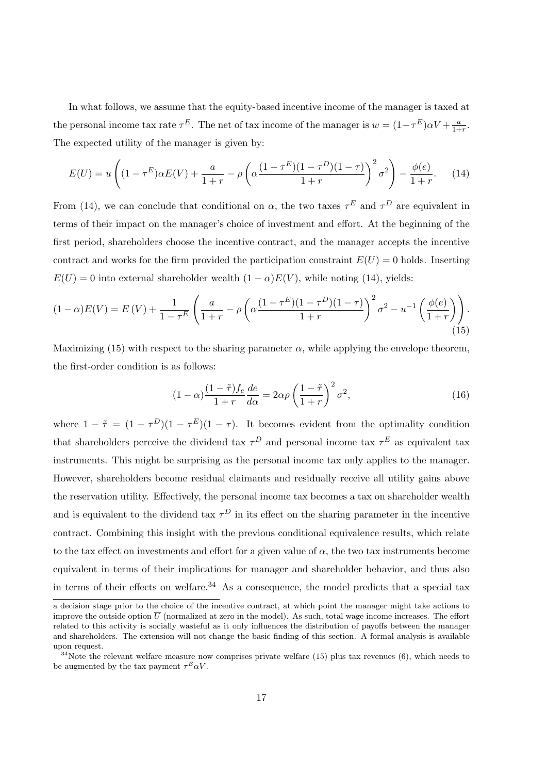In what follows, we assume that the equity-based incentive income of the manager is taxed at the personal income tax rate  $\tau^E$ . The net of tax income of the manager is  $w = (1 - \tau^E) \alpha V + \frac{a}{1 + \tau^E}$  $\frac{a}{1+r}$ . The expected utility of the manager is given by:

$$
E(U) = u\left((1 - \tau^E)\alpha E(V) + \frac{a}{1 + r} - \rho\left(\alpha \frac{(1 - \tau^E)(1 - \tau^D)(1 - \tau)}{1 + r}\right)^2 \sigma^2\right) - \frac{\phi(e)}{1 + r}.
$$
 (14)

From (14), we can conclude that conditional on  $\alpha$ , the two taxes  $\tau^E$  and  $\tau^D$  are equivalent in terms of their impact on the manager's choice of investment and effort. At the beginning of the first period, shareholders choose the incentive contract, and the manager accepts the incentive contract and works for the firm provided the participation constraint  $E(U) = 0$  holds. Inserting  $E(U) = 0$  into external shareholder wealth  $(1 - \alpha)E(V)$ , while noting (14), yields:

$$
(1 - \alpha)E(V) = E(V) + \frac{1}{1 - \tau^E} \left( \frac{a}{1 + r} - \rho \left( \alpha \frac{(1 - \tau^E)(1 - \tau^D)(1 - \tau)}{1 + r} \right)^2 \sigma^2 - u^{-1} \left( \frac{\phi(e)}{1 + r} \right) \right).
$$
\n(15)

Maximizing (15) with respect to the sharing parameter  $\alpha$ , while applying the envelope theorem, the first-order condition is as follows:

$$
(1 - \alpha) \frac{(1 - \tilde{\tau})f_e}{1 + r} \frac{de}{d\alpha} = 2\alpha\rho \left(\frac{1 - \tilde{\tau}}{1 + r}\right)^2 \sigma^2,\tag{16}
$$

where  $1 - \tilde{\tau} = (1 - \tau^D)(1 - \tau^E)(1 - \tau)$ . It becomes evident from the optimality condition that shareholders perceive the dividend tax  $\tau^D$  and personal income tax  $\tau^E$  as equivalent tax instruments. This might be surprising as the personal income tax only applies to the manager. However, shareholders become residual claimants and residually receive all utility gains above the reservation utility. Effectively, the personal income tax becomes a tax on shareholder wealth and is equivalent to the dividend tax  $\tau^D$  in its effect on the sharing parameter in the incentive contract. Combining this insight with the previous conditional equivalence results, which relate to the tax effect on investments and effort for a given value of  $\alpha$ , the two tax instruments become equivalent in terms of their implications for manager and shareholder behavior, and thus also in terms of their effects on welfare.<sup>34</sup> As a consequence, the model predicts that a special tax

a decision stage prior to the choice of the incentive contract, at which point the manager might take actions to improve the outside option  $\overline{U}$  (normalized at zero in the model). As such, total wage income increases. The effort related to this activity is socially wasteful as it only influences the distribution of payoffs between the manager and shareholders. The extension will not change the basic finding of this section. A formal analysis is available upon request.

<sup>&</sup>lt;sup>34</sup>Note the relevant welfare measure now comprises private welfare (15) plus tax revenues (6), which needs to be augmented by the tax payment  $\tau^E \alpha V$ .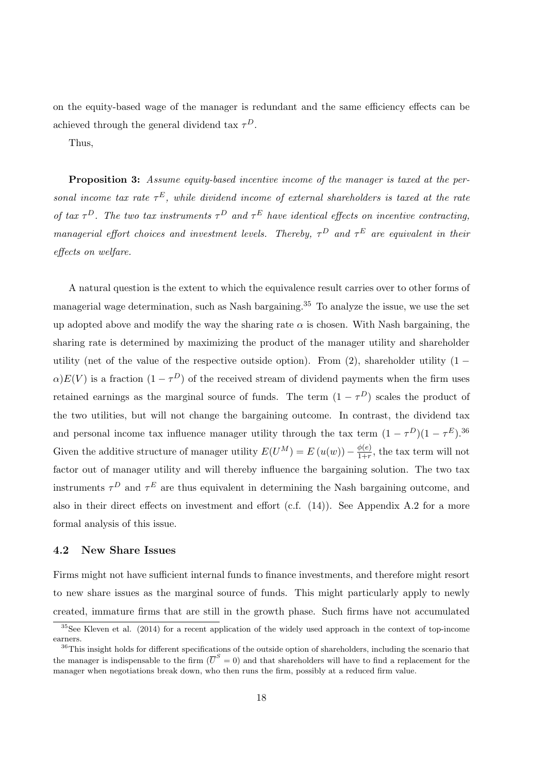on the equity-based wage of the manager is redundant and the same efficiency effects can be achieved through the general dividend tax  $\tau^D$ .

Thus,

Proposition 3: Assume equity-based incentive income of the manager is taxed at the personal income tax rate  $\tau^E$ , while dividend income of external shareholders is taxed at the rate of tax  $\tau^D$ . The two tax instruments  $\tau^D$  and  $\tau^E$  have identical effects on incentive contracting, managerial effort choices and investment levels. Thereby,  $\tau^D$  and  $\tau^E$  are equivalent in their effects on welfare.

A natural question is the extent to which the equivalence result carries over to other forms of managerial wage determination, such as Nash bargaining.<sup>35</sup> To analyze the issue, we use the set up adopted above and modify the way the sharing rate  $\alpha$  is chosen. With Nash bargaining, the sharing rate is determined by maximizing the product of the manager utility and shareholder utility (net of the value of the respective outside option). From  $(2)$ , shareholder utility  $(1 \alpha$ ) $E(V)$  is a fraction  $(1 - \tau^D)$  of the received stream of dividend payments when the firm uses retained earnings as the marginal source of funds. The term  $(1 - \tau^D)$  scales the product of the two utilities, but will not change the bargaining outcome. In contrast, the dividend tax and personal income tax influence manager utility through the tax term  $(1 - \tau^D)(1 - \tau^E)$ .<sup>36</sup> Given the additive structure of manager utility  $E(U^M) = E(u(w)) - \frac{\phi(e)}{1+r}$  $\frac{\varphi(e)}{1+r}$ , the tax term will not factor out of manager utility and will thereby influence the bargaining solution. The two tax instruments  $\tau^D$  and  $\tau^E$  are thus equivalent in determining the Nash bargaining outcome, and also in their direct effects on investment and effort (c.f.  $(14)$ ). See Appendix A.2 for a more formal analysis of this issue.

#### 4.2 New Share Issues

Firms might not have sufficient internal funds to finance investments, and therefore might resort to new share issues as the marginal source of funds. This might particularly apply to newly created, immature firms that are still in the growth phase. Such firms have not accumulated

 $35$ See Kleven et al. (2014) for a recent application of the widely used approach in the context of top-income earners.

<sup>&</sup>lt;sup>36</sup>This insight holds for different specifications of the outside option of shareholders, including the scenario that the manager is indispensable to the firm  $(\overline{U}^S = 0)$  and that shareholders will have to find a replacement for the manager when negotiations break down, who then runs the firm, possibly at a reduced firm value.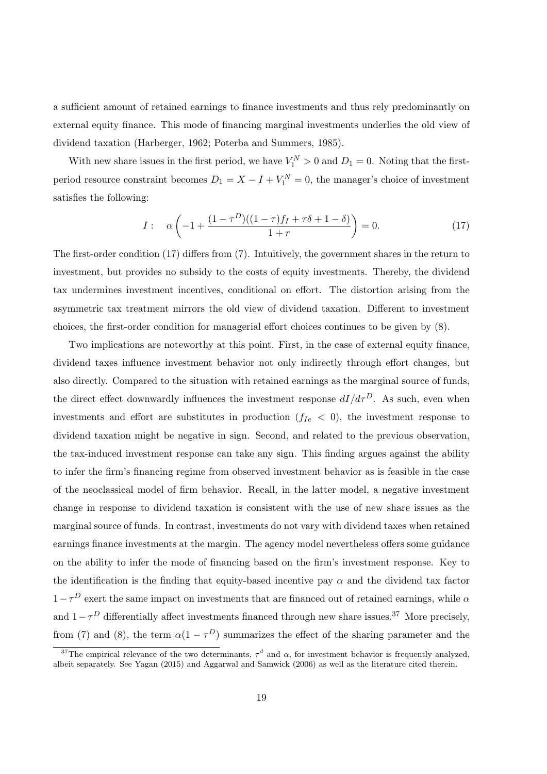a sufficient amount of retained earnings to finance investments and thus rely predominantly on external equity finance. This mode of financing marginal investments underlies the old view of dividend taxation (Harberger, 1962; Poterba and Summers, 1985).

With new share issues in the first period, we have  $V_1^N > 0$  and  $D_1 = 0$ . Noting that the firstperiod resource constraint becomes  $D_1 = X - I + V_1^N = 0$ , the manager's choice of investment satisfies the following:

$$
I: \quad \alpha \left( -1 + \frac{(1 - \tau^D)((1 - \tau)f_I + \tau \delta + 1 - \delta)}{1 + r} \right) = 0. \tag{17}
$$

The first-order condition (17) differs from (7). Intuitively, the government shares in the return to investment, but provides no subsidy to the costs of equity investments. Thereby, the dividend tax undermines investment incentives, conditional on effort. The distortion arising from the asymmetric tax treatment mirrors the old view of dividend taxation. Different to investment choices, the first-order condition for managerial effort choices continues to be given by (8).

Two implications are noteworthy at this point. First, in the case of external equity finance, dividend taxes influence investment behavior not only indirectly through effort changes, but also directly. Compared to the situation with retained earnings as the marginal source of funds, the direct effect downwardly influences the investment response  $dI/d\tau^D$ . As such, even when investments and effort are substitutes in production  $(f_{Ie} < 0)$ , the investment response to dividend taxation might be negative in sign. Second, and related to the previous observation, the tax-induced investment response can take any sign. This finding argues against the ability to infer the firm's financing regime from observed investment behavior as is feasible in the case of the neoclassical model of firm behavior. Recall, in the latter model, a negative investment change in response to dividend taxation is consistent with the use of new share issues as the marginal source of funds. In contrast, investments do not vary with dividend taxes when retained earnings finance investments at the margin. The agency model nevertheless offers some guidance on the ability to infer the mode of financing based on the firm's investment response. Key to the identification is the finding that equity-based incentive pay  $\alpha$  and the dividend tax factor  $1-\tau^D$  exert the same impact on investments that are financed out of retained earnings, while  $\alpha$ and  $1-\tau^D$  differentially affect investments financed through new share issues.<sup>37</sup> More precisely, from (7) and (8), the term  $\alpha(1-\tau^D)$  summarizes the effect of the sharing parameter and the

<sup>&</sup>lt;sup>37</sup>The empirical relevance of the two determinants,  $\tau^d$  and  $\alpha$ , for investment behavior is frequently analyzed, albeit separately. See Yagan (2015) and Aggarwal and Samwick (2006) as well as the literature cited therein.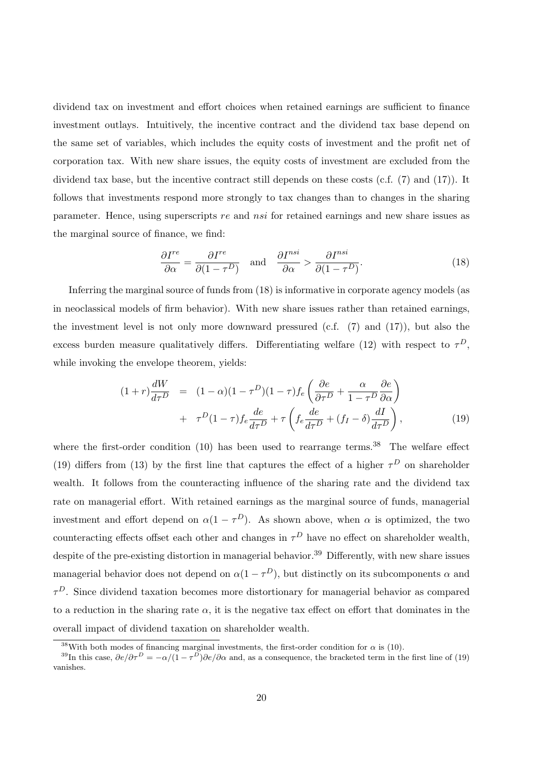dividend tax on investment and effort choices when retained earnings are sufficient to finance investment outlays. Intuitively, the incentive contract and the dividend tax base depend on the same set of variables, which includes the equity costs of investment and the profit net of corporation tax. With new share issues, the equity costs of investment are excluded from the dividend tax base, but the incentive contract still depends on these costs (c.f. (7) and (17)). It follows that investments respond more strongly to tax changes than to changes in the sharing parameter. Hence, using superscripts re and nsi for retained earnings and new share issues as the marginal source of finance, we find:

$$
\frac{\partial I^{re}}{\partial \alpha} = \frac{\partial I^{re}}{\partial (1 - \tau^D)} \quad \text{and} \quad \frac{\partial I^{nsi}}{\partial \alpha} > \frac{\partial I^{nsi}}{\partial (1 - \tau^D)}.
$$
\n(18)

Inferring the marginal source of funds from (18) is informative in corporate agency models (as in neoclassical models of firm behavior). With new share issues rather than retained earnings, the investment level is not only more downward pressured (c.f. (7) and (17)), but also the excess burden measure qualitatively differs. Differentiating welfare (12) with respect to  $\tau^D$ , while invoking the envelope theorem, yields:

$$
(1+r)\frac{dW}{d\tau^D} = (1-\alpha)(1-\tau^D)(1-\tau)f_e\left(\frac{\partial e}{\partial \tau^D} + \frac{\alpha}{1-\tau^D}\frac{\partial e}{\partial \alpha}\right) + \tau^D(1-\tau)f_e\frac{de}{d\tau^D} + \tau\left(f_e\frac{de}{d\tau^D} + (f_I - \delta)\frac{dI}{d\tau^D}\right),
$$
(19)

where the first-order condition  $(10)$  has been used to rearrange terms.<sup>38</sup> The welfare effect (19) differs from (13) by the first line that captures the effect of a higher  $\tau^D$  on shareholder wealth. It follows from the counteracting influence of the sharing rate and the dividend tax rate on managerial effort. With retained earnings as the marginal source of funds, managerial investment and effort depend on  $\alpha(1-\tau^D)$ . As shown above, when  $\alpha$  is optimized, the two counteracting effects offset each other and changes in  $\tau^D$  have no effect on shareholder wealth, despite of the pre-existing distortion in managerial behavior.<sup>39</sup> Differently, with new share issues managerial behavior does not depend on  $\alpha(1-\tau^D)$ , but distinctly on its subcomponents  $\alpha$  and  $\tau^D$ . Since dividend taxation becomes more distortionary for managerial behavior as compared to a reduction in the sharing rate  $\alpha$ , it is the negative tax effect on effort that dominates in the overall impact of dividend taxation on shareholder wealth.

<sup>&</sup>lt;sup>38</sup>With both modes of financing marginal investments, the first-order condition for  $\alpha$  is (10).

<sup>&</sup>lt;sup>39</sup>In this case,  $\partial e/\partial \tau^D = -\alpha/(1-\tau^D)\partial e/\partial \alpha$  and, as a consequence, the bracketed term in the first line of (19) vanishes.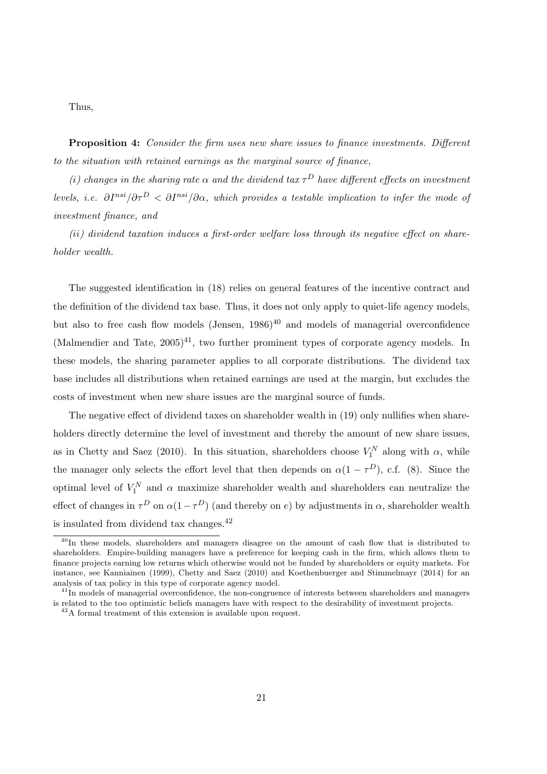Thus,

Proposition 4: Consider the firm uses new share issues to finance investments. Different to the situation with retained earnings as the marginal source of finance,

(i) changes in the sharing rate  $\alpha$  and the dividend tax  $\tau^D$  have different effects on investment levels, i.e.  $\partial I^{nsi}/\partial \tau^D < \partial I^{nsi}/\partial \alpha$ , which provides a testable implication to infer the mode of investment finance, and

(ii) dividend taxation induces a first-order welfare loss through its negative effect on shareholder wealth.

The suggested identification in (18) relies on general features of the incentive contract and the definition of the dividend tax base. Thus, it does not only apply to quiet-life agency models, but also to free cash flow models (Jensen,  $1986$ )<sup>40</sup> and models of managerial overconfidence (Malmendier and Tate,  $2005)^{41}$ , two further prominent types of corporate agency models. In these models, the sharing parameter applies to all corporate distributions. The dividend tax base includes all distributions when retained earnings are used at the margin, but excludes the costs of investment when new share issues are the marginal source of funds.

The negative effect of dividend taxes on shareholder wealth in (19) only nullifies when shareholders directly determine the level of investment and thereby the amount of new share issues, as in Chetty and Saez (2010). In this situation, shareholders choose  $V_1^N$  along with  $\alpha$ , while the manager only selects the effort level that then depends on  $\alpha(1-\tau^D)$ , c.f. (8). Since the optimal level of  $V_1^N$  and  $\alpha$  maximize shareholder wealth and shareholders can neutralize the effect of changes in  $\tau^D$  on  $\alpha(1-\tau^D)$  (and thereby on e) by adjustments in  $\alpha$ , shareholder wealth is insulated from dividend tax changes. $42$ 

<sup>&</sup>lt;sup>40</sup>In these models, shareholders and managers disagree on the amount of cash flow that is distributed to shareholders. Empire-building managers have a preference for keeping cash in the firm, which allows them to finance projects earning low returns which otherwise would not be funded by shareholders or equity markets. For instance, see Kanniainen (1999), Chetty and Saez (2010) and Koethenbuerger and Stimmelmayr (2014) for an analysis of tax policy in this type of corporate agency model.

 $41$ In models of managerial overconfidence, the non-congruence of interests between shareholders and managers is related to the too optimistic beliefs managers have with respect to the desirability of investment projects.

 $^{42}{\rm A}$  formal treatment of this extension is available upon request.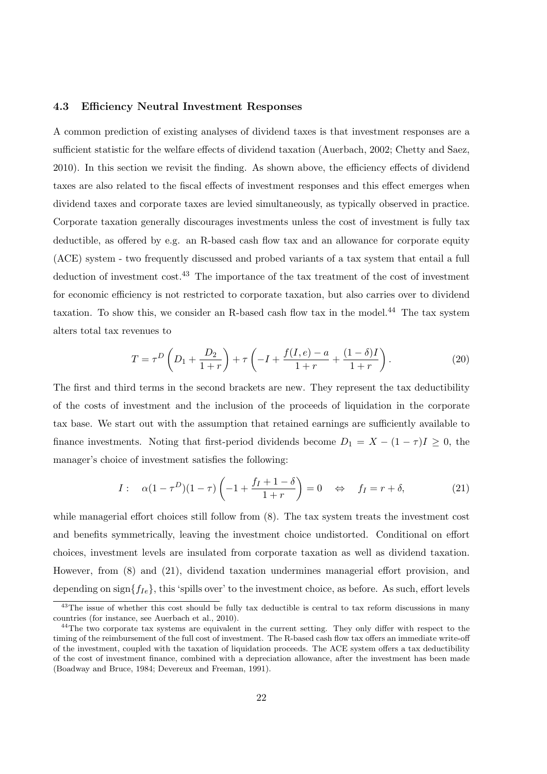#### 4.3 Efficiency Neutral Investment Responses

A common prediction of existing analyses of dividend taxes is that investment responses are a sufficient statistic for the welfare effects of dividend taxation (Auerbach, 2002; Chetty and Saez, 2010). In this section we revisit the finding. As shown above, the efficiency effects of dividend taxes are also related to the fiscal effects of investment responses and this effect emerges when dividend taxes and corporate taxes are levied simultaneously, as typically observed in practice. Corporate taxation generally discourages investments unless the cost of investment is fully tax deductible, as offered by e.g. an R-based cash flow tax and an allowance for corporate equity (ACE) system - two frequently discussed and probed variants of a tax system that entail a full deduction of investment cost.<sup>43</sup> The importance of the tax treatment of the cost of investment for economic efficiency is not restricted to corporate taxation, but also carries over to dividend taxation. To show this, we consider an R-based cash flow tax in the model.<sup>44</sup> The tax system alters total tax revenues to

$$
T = \tau^{D} \left( D_{1} + \frac{D_{2}}{1+r} \right) + \tau \left( -I + \frac{f(I, e) - a}{1+r} + \frac{(1-\delta)I}{1+r} \right). \tag{20}
$$

The first and third terms in the second brackets are new. They represent the tax deductibility of the costs of investment and the inclusion of the proceeds of liquidation in the corporate tax base. We start out with the assumption that retained earnings are sufficiently available to finance investments. Noting that first-period dividends become  $D_1 = X - (1 - \tau)I \geq 0$ , the manager's choice of investment satisfies the following:

$$
I: \quad \alpha(1-\tau^D)(1-\tau)\left(-1+\frac{f_I+1-\delta}{1+r}\right)=0 \quad \Leftrightarrow \quad f_I=r+\delta,\tag{21}
$$

while managerial effort choices still follow from (8). The tax system treats the investment cost and benefits symmetrically, leaving the investment choice undistorted. Conditional on effort choices, investment levels are insulated from corporate taxation as well as dividend taxation. However, from (8) and (21), dividend taxation undermines managerial effort provision, and depending on sign ${f_{Ie}}$ , this 'spills over' to the investment choice, as before. As such, effort levels

<sup>&</sup>lt;sup>43</sup>The issue of whether this cost should be fully tax deductible is central to tax reform discussions in many countries (for instance, see Auerbach et al., 2010).

<sup>&</sup>lt;sup>44</sup>The two corporate tax systems are equivalent in the current setting. They only differ with respect to the timing of the reimbursement of the full cost of investment. The R-based cash flow tax offers an immediate write-off of the investment, coupled with the taxation of liquidation proceeds. The ACE system offers a tax deductibility of the cost of investment finance, combined with a depreciation allowance, after the investment has been made (Boadway and Bruce, 1984; Devereux and Freeman, 1991).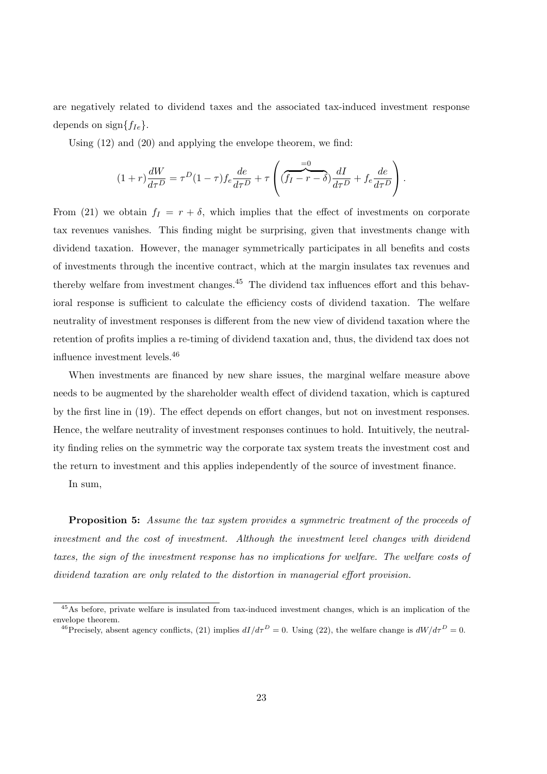are negatively related to dividend taxes and the associated tax-induced investment response depends on sign $\{f_{Ie}\}.$ 

Using (12) and (20) and applying the envelope theorem, we find:

$$
(1+r)\frac{dW}{d\tau^D} = \tau^D (1-\tau) f_e \frac{de}{d\tau^D} + \tau \left( \underbrace{(f_I - r - \delta)}_{H} \frac{dI}{d\tau^D} + f_e \frac{de}{d\tau^D} \right).
$$

From (21) we obtain  $f_I = r + \delta$ , which implies that the effect of investments on corporate tax revenues vanishes. This finding might be surprising, given that investments change with dividend taxation. However, the manager symmetrically participates in all benefits and costs of investments through the incentive contract, which at the margin insulates tax revenues and thereby welfare from investment changes.<sup>45</sup> The dividend tax influences effort and this behavioral response is sufficient to calculate the efficiency costs of dividend taxation. The welfare neutrality of investment responses is different from the new view of dividend taxation where the retention of profits implies a re-timing of dividend taxation and, thus, the dividend tax does not influence investment levels.<sup>46</sup>

When investments are financed by new share issues, the marginal welfare measure above needs to be augmented by the shareholder wealth effect of dividend taxation, which is captured by the first line in (19). The effect depends on effort changes, but not on investment responses. Hence, the welfare neutrality of investment responses continues to hold. Intuitively, the neutrality finding relies on the symmetric way the corporate tax system treats the investment cost and the return to investment and this applies independently of the source of investment finance.

In sum,

Proposition 5: Assume the tax system provides a symmetric treatment of the proceeds of investment and the cost of investment. Although the investment level changes with dividend taxes, the sign of the investment response has no implications for welfare. The welfare costs of dividend taxation are only related to the distortion in managerial effort provision.

<sup>45</sup>As before, private welfare is insulated from tax-induced investment changes, which is an implication of the envelope theorem.

<sup>&</sup>lt;sup>46</sup>Precisely, absent agency conflicts, (21) implies  $dI/d\tau^D = 0$ . Using (22), the welfare change is  $dW/d\tau^D = 0$ .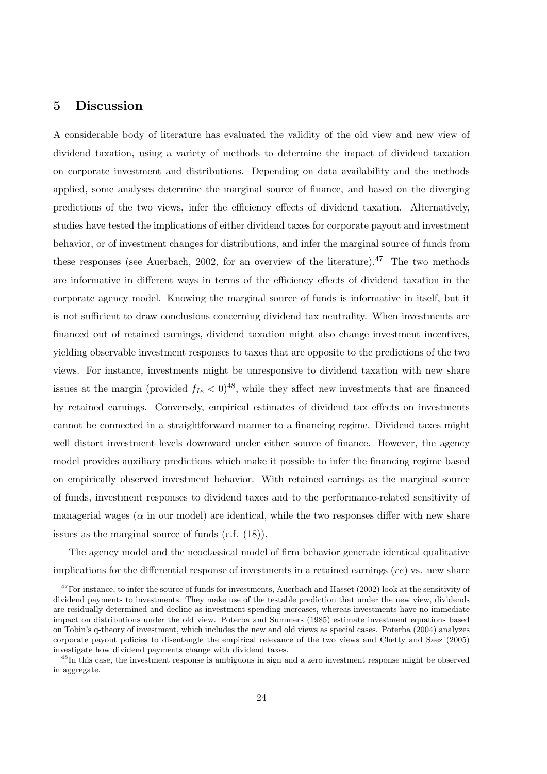# 5 Discussion

A considerable body of literature has evaluated the validity of the old view and new view of dividend taxation, using a variety of methods to determine the impact of dividend taxation on corporate investment and distributions. Depending on data availability and the methods applied, some analyses determine the marginal source of finance, and based on the diverging predictions of the two views, infer the efficiency effects of dividend taxation. Alternatively, studies have tested the implications of either dividend taxes for corporate payout and investment behavior, or of investment changes for distributions, and infer the marginal source of funds from these responses (see Auerbach, 2002, for an overview of the literature).<sup>47</sup> The two methods are informative in different ways in terms of the efficiency effects of dividend taxation in the corporate agency model. Knowing the marginal source of funds is informative in itself, but it is not sufficient to draw conclusions concerning dividend tax neutrality. When investments are financed out of retained earnings, dividend taxation might also change investment incentives, yielding observable investment responses to taxes that are opposite to the predictions of the two views. For instance, investments might be unresponsive to dividend taxation with new share issues at the margin (provided  $f_{Ie} < 0$ )<sup>48</sup>, while they affect new investments that are financed by retained earnings. Conversely, empirical estimates of dividend tax effects on investments cannot be connected in a straightforward manner to a financing regime. Dividend taxes might well distort investment levels downward under either source of finance. However, the agency model provides auxiliary predictions which make it possible to infer the financing regime based on empirically observed investment behavior. With retained earnings as the marginal source of funds, investment responses to dividend taxes and to the performance-related sensitivity of managerial wages ( $\alpha$  in our model) are identical, while the two responses differ with new share issues as the marginal source of funds (c.f. (18)).

The agency model and the neoclassical model of firm behavior generate identical qualitative implications for the differential response of investments in a retained earnings  $(re)$  vs. new share

 $47$ For instance, to infer the source of funds for investments, Auerbach and Hasset (2002) look at the sensitivity of dividend payments to investments. They make use of the testable prediction that under the new view, dividends are residually determined and decline as investment spending increases, whereas investments have no immediate impact on distributions under the old view. Poterba and Summers (1985) estimate investment equations based on Tobin's q-theory of investment, which includes the new and old views as special cases. Poterba (2004) analyzes corporate payout policies to disentangle the empirical relevance of the two views and Chetty and Saez (2005) investigate how dividend payments change with dividend taxes.

<sup>&</sup>lt;sup>48</sup>In this case, the investment response is ambiguous in sign and a zero investment response might be observed in aggregate.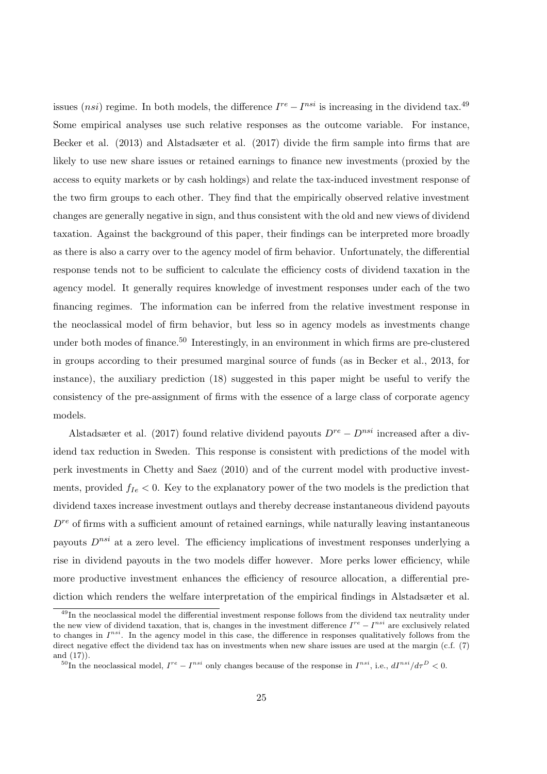issues (nsi) regime. In both models, the difference  $I^{re} - I^{nsi}$  is increasing in the dividend tax.<sup>49</sup> Some empirical analyses use such relative responses as the outcome variable. For instance, Becker et al. (2013) and Alstadsæter et al. (2017) divide the firm sample into firms that are likely to use new share issues or retained earnings to finance new investments (proxied by the access to equity markets or by cash holdings) and relate the tax-induced investment response of the two firm groups to each other. They find that the empirically observed relative investment changes are generally negative in sign, and thus consistent with the old and new views of dividend taxation. Against the background of this paper, their findings can be interpreted more broadly as there is also a carry over to the agency model of firm behavior. Unfortunately, the differential response tends not to be sufficient to calculate the efficiency costs of dividend taxation in the agency model. It generally requires knowledge of investment responses under each of the two financing regimes. The information can be inferred from the relative investment response in the neoclassical model of firm behavior, but less so in agency models as investments change under both modes of finance.<sup>50</sup> Interestingly, in an environment in which firms are pre-clustered in groups according to their presumed marginal source of funds (as in Becker et al., 2013, for instance), the auxiliary prediction (18) suggested in this paper might be useful to verify the consistency of the pre-assignment of firms with the essence of a large class of corporate agency models.

Alstadsæter et al. (2017) found relative dividend payouts  $D^{re} - D^{nsi}$  increased after a dividend tax reduction in Sweden. This response is consistent with predictions of the model with perk investments in Chetty and Saez (2010) and of the current model with productive investments, provided  $f_{Ie} < 0$ . Key to the explanatory power of the two models is the prediction that dividend taxes increase investment outlays and thereby decrease instantaneous dividend payouts  $D^{re}$  of firms with a sufficient amount of retained earnings, while naturally leaving instantaneous payouts  $D^{nsi}$  at a zero level. The efficiency implications of investment responses underlying a rise in dividend payouts in the two models differ however. More perks lower efficiency, while more productive investment enhances the efficiency of resource allocation, a differential prediction which renders the welfare interpretation of the empirical findings in Alstadsæter et al.

<sup>&</sup>lt;sup>49</sup>In the neoclassical model the differential investment response follows from the dividend tax neutrality under the new view of dividend taxation, that is, changes in the investment difference  $I^{re} - I^{nsi}$  are exclusively related to changes in  $I^{nsi}$ . In the agency model in this case, the difference in responses qualitatively follows from the direct negative effect the dividend tax has on investments when new share issues are used at the margin (c.f.  $(7)$ ) and (17)).

<sup>&</sup>lt;sup>50</sup>In the neoclassical model,  $I^{re} - I^{nsi}$  only changes because of the response in  $I^{nsi}$ , i.e.,  $dI^{nsi}/d\tau^D < 0$ .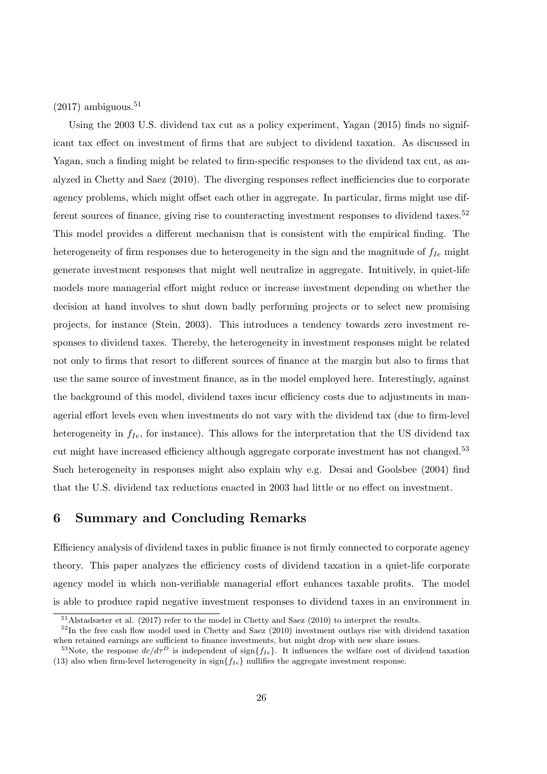$(2017)$  ambiguous.<sup>51</sup>

Using the 2003 U.S. dividend tax cut as a policy experiment, Yagan (2015) finds no significant tax effect on investment of firms that are subject to dividend taxation. As discussed in Yagan, such a finding might be related to firm-specific responses to the dividend tax cut, as analyzed in Chetty and Saez (2010). The diverging responses reflect inefficiencies due to corporate agency problems, which might offset each other in aggregate. In particular, firms might use different sources of finance, giving rise to counteracting investment responses to dividend taxes.<sup>52</sup> This model provides a different mechanism that is consistent with the empirical finding. The heterogeneity of firm responses due to heterogeneity in the sign and the magnitude of  $f_{Ie}$  might generate investment responses that might well neutralize in aggregate. Intuitively, in quiet-life models more managerial effort might reduce or increase investment depending on whether the decision at hand involves to shut down badly performing projects or to select new promising projects, for instance (Stein, 2003). This introduces a tendency towards zero investment responses to dividend taxes. Thereby, the heterogeneity in investment responses might be related not only to firms that resort to different sources of finance at the margin but also to firms that use the same source of investment finance, as in the model employed here. Interestingly, against the background of this model, dividend taxes incur efficiency costs due to adjustments in managerial effort levels even when investments do not vary with the dividend tax (due to firm-level heterogeneity in  $f_{Ie}$ , for instance). This allows for the interpretation that the US dividend tax cut might have increased efficiency although aggregate corporate investment has not changed.<sup>53</sup> Such heterogeneity in responses might also explain why e.g. Desai and Goolsbee (2004) find that the U.S. dividend tax reductions enacted in 2003 had little or no effect on investment.

### 6 Summary and Concluding Remarks

Efficiency analysis of dividend taxes in public finance is not firmly connected to corporate agency theory. This paper analyzes the efficiency costs of dividend taxation in a quiet-life corporate agency model in which non-verifiable managerial effort enhances taxable profits. The model is able to produce rapid negative investment responses to dividend taxes in an environment in

<sup>&</sup>lt;sup>51</sup>Alstadsæter et al. (2017) refer to the model in Chetty and Saez (2010) to interpret the results.

 $52$ In the free cash flow model used in Chetty and Saez (2010) investment outlays rise with dividend taxation when retained earnings are sufficient to finance investments, but might drop with new share issues.

<sup>&</sup>lt;sup>53</sup>Note, the response  $de/d\tau^D$  is independent of sign $\{f_{Ie}\}$ . It influences the welfare cost of dividend taxation (13) also when firm-level heterogeneity in sign ${f_{Ie}}$  nullifies the aggregate investment response.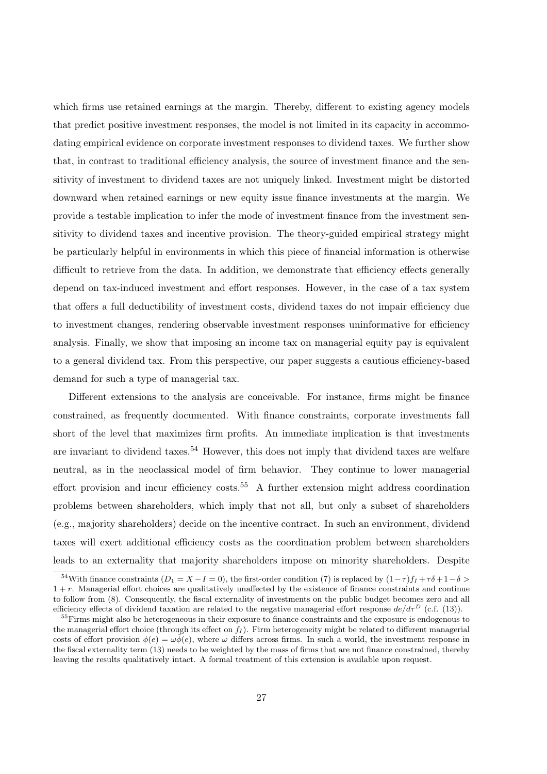which firms use retained earnings at the margin. Thereby, different to existing agency models that predict positive investment responses, the model is not limited in its capacity in accommodating empirical evidence on corporate investment responses to dividend taxes. We further show that, in contrast to traditional efficiency analysis, the source of investment finance and the sensitivity of investment to dividend taxes are not uniquely linked. Investment might be distorted downward when retained earnings or new equity issue finance investments at the margin. We provide a testable implication to infer the mode of investment finance from the investment sensitivity to dividend taxes and incentive provision. The theory-guided empirical strategy might be particularly helpful in environments in which this piece of financial information is otherwise difficult to retrieve from the data. In addition, we demonstrate that efficiency effects generally depend on tax-induced investment and effort responses. However, in the case of a tax system that offers a full deductibility of investment costs, dividend taxes do not impair efficiency due to investment changes, rendering observable investment responses uninformative for efficiency analysis. Finally, we show that imposing an income tax on managerial equity pay is equivalent to a general dividend tax. From this perspective, our paper suggests a cautious efficiency-based demand for such a type of managerial tax.

Different extensions to the analysis are conceivable. For instance, firms might be finance constrained, as frequently documented. With finance constraints, corporate investments fall short of the level that maximizes firm profits. An immediate implication is that investments are invariant to dividend taxes.<sup>54</sup> However, this does not imply that dividend taxes are welfare neutral, as in the neoclassical model of firm behavior. They continue to lower managerial effort provision and incur efficiency costs.<sup>55</sup> A further extension might address coordination problems between shareholders, which imply that not all, but only a subset of shareholders (e.g., majority shareholders) decide on the incentive contract. In such an environment, dividend taxes will exert additional efficiency costs as the coordination problem between shareholders leads to an externality that majority shareholders impose on minority shareholders. Despite

<sup>&</sup>lt;sup>54</sup>With finance constraints  $(D_1 = X - I = 0)$ , the first-order condition (7) is replaced by  $(1 - \tau) f_I + \tau \delta + 1 - \delta >$  $1 + r$ . Managerial effort choices are qualitatively unaffected by the existence of finance constraints and continue to follow from (8). Consequently, the fiscal externality of investments on the public budget becomes zero and all efficiency effects of dividend taxation are related to the negative managerial effort response  $de/d\tau^D$  (c.f. (13)).

<sup>&</sup>lt;sup>55</sup>Firms might also be heterogeneous in their exposure to finance constraints and the exposure is endogenous to the managerial effort choice (through its effect on  $f_I$ ). Firm heterogeneity might be related to different managerial costs of effort provision  $\phi(e) = \omega \tilde{\phi}(e)$ , where  $\omega$  differs across firms. In such a world, the investment response in the fiscal externality term (13) needs to be weighted by the mass of firms that are not finance constrained, thereby leaving the results qualitatively intact. A formal treatment of this extension is available upon request.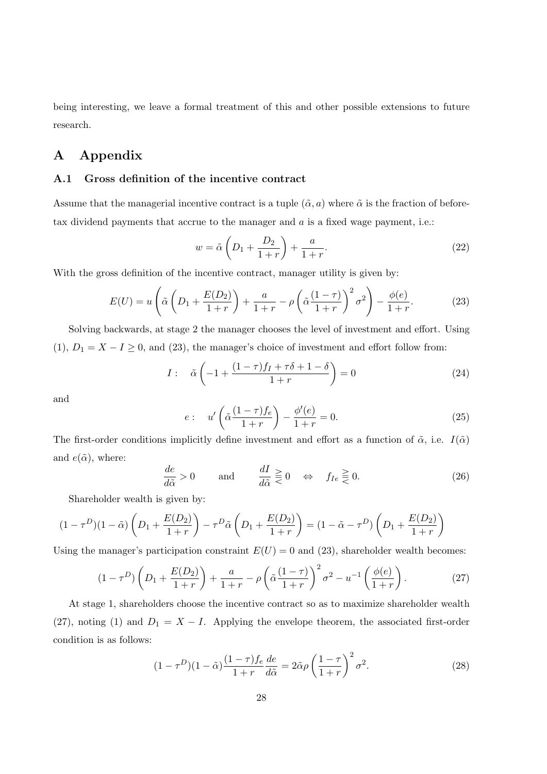being interesting, we leave a formal treatment of this and other possible extensions to future research.

# A Appendix

### A.1 Gross definition of the incentive contract

Assume that the managerial incentive contract is a tuple  $(\tilde{\alpha}, a)$  where  $\tilde{\alpha}$  is the fraction of beforetax dividend payments that accrue to the manager and  $a$  is a fixed wage payment, i.e.:

$$
w = \tilde{\alpha} \left( D_1 + \frac{D_2}{1+r} \right) + \frac{a}{1+r}.
$$
\n
$$
(22)
$$

With the gross definition of the incentive contract, manager utility is given by:

$$
E(U) = u\left(\tilde{\alpha}\left(D_1 + \frac{E(D_2)}{1+r}\right) + \frac{a}{1+r} - \rho\left(\tilde{\alpha}\frac{(1-\tau)}{1+r}\right)^2\sigma^2\right) - \frac{\phi(e)}{1+r}.\tag{23}
$$

Solving backwards, at stage 2 the manager chooses the level of investment and effort. Using (1),  $D_1 = X - I \geq 0$ , and (23), the manager's choice of investment and effort follow from:

$$
I: \quad \tilde{\alpha}\left(-1+\frac{(1-\tau)f_I+\tau\delta+1-\delta}{1+r}\right)=0\tag{24}
$$

and

$$
e: u'\left(\tilde{\alpha}\frac{(1-\tau)f_e}{1+r}\right) - \frac{\phi'(e)}{1+r} = 0.
$$
\n(25)

The first-order conditions implicitly define investment and effort as a function of  $\tilde{\alpha}$ , i.e.  $I(\tilde{\alpha})$ and  $e(\tilde{\alpha})$ , where:

$$
\frac{de}{d\tilde{\alpha}} > 0 \quad \text{and} \quad \frac{dI}{d\tilde{\alpha}} \geq 0 \quad \Leftrightarrow \quad f_{Ie} \geq 0. \tag{26}
$$

Shareholder wealth is given by:

$$
(1 - \tau^{D})(1 - \tilde{\alpha}) \left( D_{1} + \frac{E(D_{2})}{1 + r} \right) - \tau^{D} \tilde{\alpha} \left( D_{1} + \frac{E(D_{2})}{1 + r} \right) = (1 - \tilde{\alpha} - \tau^{D}) \left( D_{1} + \frac{E(D_{2})}{1 + r} \right)
$$

Using the manager's participation constraint  $E(U) = 0$  and (23), shareholder wealth becomes:

$$
(1 - \tau^D) \left( D_1 + \frac{E(D_2)}{1+r} \right) + \frac{a}{1+r} - \rho \left( \tilde{\alpha} \frac{(1-\tau)}{1+r} \right)^2 \sigma^2 - u^{-1} \left( \frac{\phi(e)}{1+r} \right). \tag{27}
$$

At stage 1, shareholders choose the incentive contract so as to maximize shareholder wealth (27), noting (1) and  $D_1 = X - I$ . Applying the envelope theorem, the associated first-order condition is as follows:

$$
(1 - \tau^D)(1 - \tilde{\alpha})\frac{(1 - \tau)f_e}{1 + r}\frac{de}{d\tilde{\alpha}} = 2\tilde{\alpha}\rho\left(\frac{1 - \tau}{1 + r}\right)^2\sigma^2.
$$
 (28)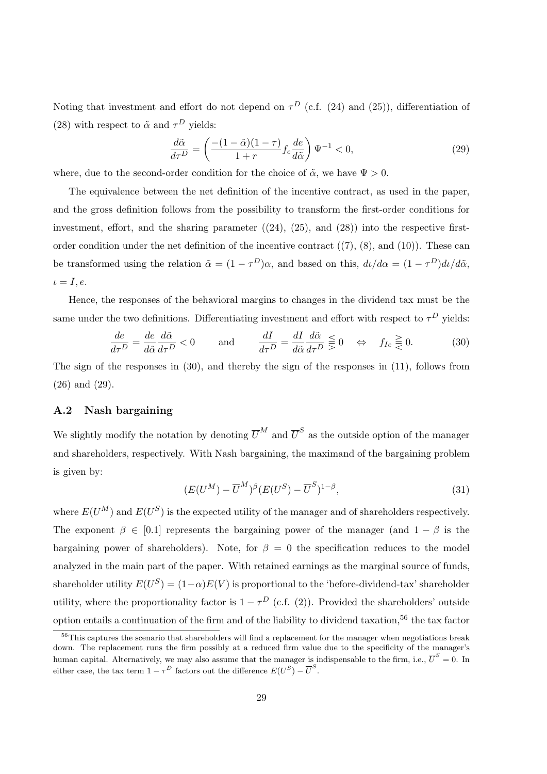Noting that investment and effort do not depend on  $\tau^D$  (c.f. (24) and (25)), differentiation of (28) with respect to  $\tilde{\alpha}$  and  $\tau^D$  yields:

$$
\frac{d\tilde{\alpha}}{d\tau^D} = \left(\frac{-(1-\tilde{\alpha})(1-\tau)}{1+r} f_e \frac{de}{d\tilde{\alpha}}\right) \Psi^{-1} < 0,\tag{29}
$$

where, due to the second-order condition for the choice of  $\tilde{\alpha}$ , we have  $\Psi > 0$ .

The equivalence between the net definition of the incentive contract, as used in the paper, and the gross definition follows from the possibility to transform the first-order conditions for investment, effort, and the sharing parameter  $((24), (25),$  and  $(28))$  into the respective firstorder condition under the net definition of the incentive contract  $((7), (8),$  and  $(10))$ . These can be transformed using the relation  $\tilde{\alpha} = (1 - \tau^D)\alpha$ , and based on this,  $d\iota/d\alpha = (1 - \tau^D)d\iota/d\tilde{\alpha}$ ,  $\iota = I, e.$ 

Hence, the responses of the behavioral margins to changes in the dividend tax must be the same under the two definitions. Differentiating investment and effort with respect to  $\tau^D$  yields:

$$
\frac{de}{d\tau^D} = \frac{de}{d\tilde{\alpha}} \frac{d\tilde{\alpha}}{d\tau^D} < 0 \qquad \text{and} \qquad \frac{dI}{d\tau^D} = \frac{dI}{d\tilde{\alpha}} \frac{d\tilde{\alpha}}{d\tau^D} \lesseqqgtr 0 \quad \Leftrightarrow \quad f_{Ie} \gtrless 0. \tag{30}
$$

The sign of the responses in (30), and thereby the sign of the responses in (11), follows from (26) and (29).

#### A.2 Nash bargaining

We slightly modify the notation by denoting  $\overline{U}^M$  and  $\overline{U}^S$  as the outside option of the manager and shareholders, respectively. With Nash bargaining, the maximand of the bargaining problem is given by:

$$
(E(U^M) - \overline{U}^M)^{\beta} (E(U^S) - \overline{U}^S)^{1-\beta}, \tag{31}
$$

where  $E(U^M)$  and  $E(U^S)$  is the expected utility of the manager and of shareholders respectively. The exponent  $\beta \in [0.1]$  represents the bargaining power of the manager (and  $1 - \beta$  is the bargaining power of shareholders). Note, for  $\beta = 0$  the specification reduces to the model analyzed in the main part of the paper. With retained earnings as the marginal source of funds, shareholder utility  $E(U^S) = (1-\alpha)E(V)$  is proportional to the 'before-dividend-tax' shareholder utility, where the proportionality factor is  $1 - \tau^D$  (c.f. (2)). Provided the shareholders' outside option entails a continuation of the firm and of the liability to dividend taxation,<sup>56</sup> the tax factor

<sup>&</sup>lt;sup>56</sup>This captures the scenario that shareholders will find a replacement for the manager when negotiations break down. The replacement runs the firm possibly at a reduced firm value due to the specificity of the manager's human capital. Alternatively, we may also assume that the manager is indispensable to the firm, i.e.,  $\overline{U}^S=0$ . In either case, the tax term  $1 - \tau^D$  factors out the difference  $E(U^S) - \overline{U}^S$ .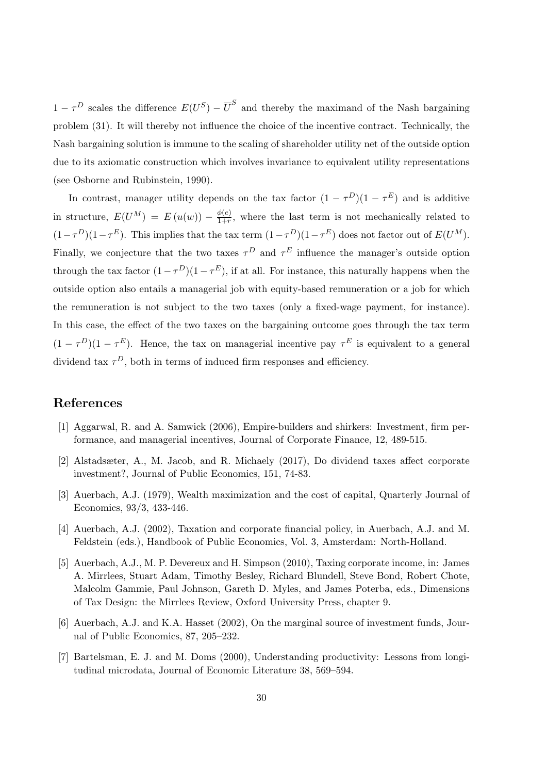$1 - \tau^D$  scales the difference  $E(U^S) - \overline{U}^S$  and thereby the maximand of the Nash bargaining problem (31). It will thereby not influence the choice of the incentive contract. Technically, the Nash bargaining solution is immune to the scaling of shareholder utility net of the outside option due to its axiomatic construction which involves invariance to equivalent utility representations (see Osborne and Rubinstein, 1990).

In contrast, manager utility depends on the tax factor  $(1 - \tau^D)(1 - \tau^E)$  and is additive in structure,  $E(U^M) = E(u(w)) - \frac{\phi(e)}{1+r}$  $\frac{\varphi(e)}{1+r}$ , where the last term is not mechanically related to  $(1-\tau^D)(1-\tau^E)$ . This implies that the tax term  $(1-\tau^D)(1-\tau^E)$  does not factor out of  $E(U^M)$ . Finally, we conjecture that the two taxes  $\tau^D$  and  $\tau^E$  influence the manager's outside option through the tax factor  $(1 - \tau^D)(1 - \tau^E)$ , if at all. For instance, this naturally happens when the outside option also entails a managerial job with equity-based remuneration or a job for which the remuneration is not subject to the two taxes (only a fixed-wage payment, for instance). In this case, the effect of the two taxes on the bargaining outcome goes through the tax term  $(1 - \tau^D)(1 - \tau^E)$ . Hence, the tax on managerial incentive pay  $\tau^E$  is equivalent to a general dividend tax  $\tau^D$ , both in terms of induced firm responses and efficiency.

### References

- [1] Aggarwal, R. and A. Samwick (2006), Empire-builders and shirkers: Investment, firm performance, and managerial incentives, Journal of Corporate Finance, 12, 489-515.
- [2] Alstadsæter, A., M. Jacob, and R. Michaely (2017), Do dividend taxes affect corporate investment?, Journal of Public Economics, 151, 74-83.
- [3] Auerbach, A.J. (1979), Wealth maximization and the cost of capital, Quarterly Journal of Economics, 93/3, 433-446.
- [4] Auerbach, A.J. (2002), Taxation and corporate financial policy, in Auerbach, A.J. and M. Feldstein (eds.), Handbook of Public Economics, Vol. 3, Amsterdam: North-Holland.
- [5] Auerbach, A.J., M. P. Devereux and H. Simpson (2010), Taxing corporate income, in: James A. Mirrlees, Stuart Adam, Timothy Besley, Richard Blundell, Steve Bond, Robert Chote, Malcolm Gammie, Paul Johnson, Gareth D. Myles, and James Poterba, eds., Dimensions of Tax Design: the Mirrlees Review, Oxford University Press, chapter 9.
- [6] Auerbach, A.J. and K.A. Hasset (2002), On the marginal source of investment funds, Journal of Public Economics, 87, 205–232.
- [7] Bartelsman, E. J. and M. Doms (2000), Understanding productivity: Lessons from longitudinal microdata, Journal of Economic Literature 38, 569–594.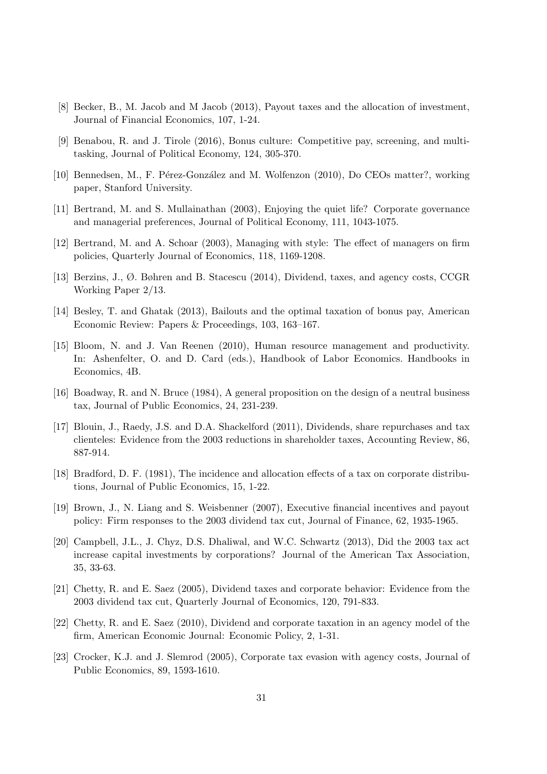- [8] Becker, B., M. Jacob and M Jacob (2013), Payout taxes and the allocation of investment, Journal of Financial Economics, 107, 1-24.
- [9] Benabou, R. and J. Tirole (2016), Bonus culture: Competitive pay, screening, and multitasking, Journal of Political Economy, 124, 305-370.
- [10] Bennedsen, M., F. Pérez-González and M. Wolfenzon (2010), Do CEOs matter?, working paper, Stanford University.
- [11] Bertrand, M. and S. Mullainathan (2003), Enjoying the quiet life? Corporate governance and managerial preferences, Journal of Political Economy, 111, 1043-1075.
- [12] Bertrand, M. and A. Schoar (2003), Managing with style: The effect of managers on firm policies, Quarterly Journal of Economics, 118, 1169-1208.
- [13] Berzins, J., Ø. Bøhren and B. Stacescu (2014), Dividend, taxes, and agency costs, CCGR Working Paper 2/13.
- [14] Besley, T. and Ghatak (2013), Bailouts and the optimal taxation of bonus pay, American Economic Review: Papers & Proceedings, 103, 163–167.
- [15] Bloom, N. and J. Van Reenen (2010), Human resource management and productivity. In: Ashenfelter, O. and D. Card (eds.), Handbook of Labor Economics. Handbooks in Economics, 4B.
- [16] Boadway, R. and N. Bruce (1984), A general proposition on the design of a neutral business tax, Journal of Public Economics, 24, 231-239.
- [17] Blouin, J., Raedy, J.S. and D.A. Shackelford (2011), Dividends, share repurchases and tax clienteles: Evidence from the 2003 reductions in shareholder taxes, Accounting Review, 86, 887-914.
- [18] Bradford, D. F. (1981), The incidence and allocation effects of a tax on corporate distributions, Journal of Public Economics, 15, 1-22.
- [19] Brown, J., N. Liang and S. Weisbenner (2007), Executive financial incentives and payout policy: Firm responses to the 2003 dividend tax cut, Journal of Finance, 62, 1935-1965.
- [20] Campbell, J.L., J. Chyz, D.S. Dhaliwal, and W.C. Schwartz (2013), Did the 2003 tax act increase capital investments by corporations? Journal of the American Tax Association, 35, 33-63.
- [21] Chetty, R. and E. Saez (2005), Dividend taxes and corporate behavior: Evidence from the 2003 dividend tax cut, Quarterly Journal of Economics, 120, 791-833.
- [22] Chetty, R. and E. Saez (2010), Dividend and corporate taxation in an agency model of the firm, American Economic Journal: Economic Policy, 2, 1-31.
- [23] Crocker, K.J. and J. Slemrod (2005), Corporate tax evasion with agency costs, Journal of Public Economics, 89, 1593-1610.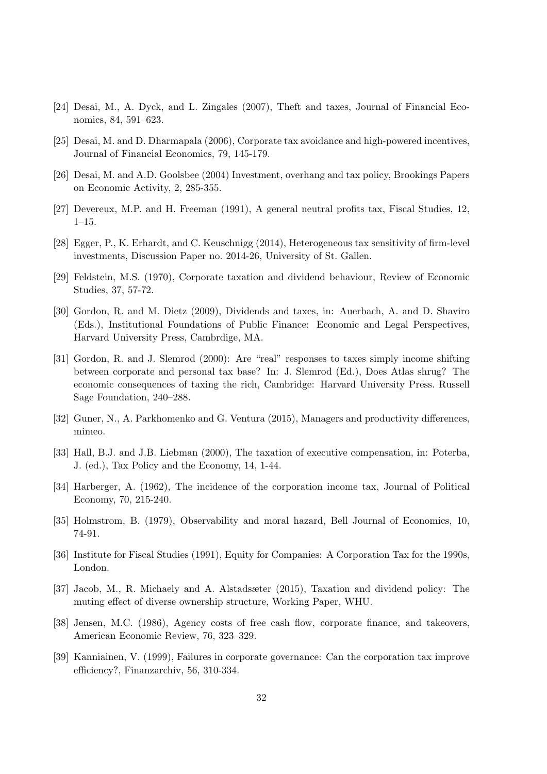- [24] Desai, M., A. Dyck, and L. Zingales (2007), Theft and taxes, Journal of Financial Economics, 84, 591–623.
- [25] Desai, M. and D. Dharmapala (2006), Corporate tax avoidance and high-powered incentives, Journal of Financial Economics, 79, 145-179.
- [26] Desai, M. and A.D. Goolsbee (2004) Investment, overhang and tax policy, Brookings Papers on Economic Activity, 2, 285-355.
- [27] Devereux, M.P. and H. Freeman (1991), A general neutral profits tax, Fiscal Studies, 12, 1–15.
- [28] Egger, P., K. Erhardt, and C. Keuschnigg (2014), Heterogeneous tax sensitivity of firm-level investments, Discussion Paper no. 2014-26, University of St. Gallen.
- [29] Feldstein, M.S. (1970), Corporate taxation and dividend behaviour, Review of Economic Studies, 37, 57-72.
- [30] Gordon, R. and M. Dietz (2009), Dividends and taxes, in: Auerbach, A. and D. Shaviro (Eds.), Institutional Foundations of Public Finance: Economic and Legal Perspectives, Harvard University Press, Cambrdige, MA.
- [31] Gordon, R. and J. Slemrod (2000): Are "real" responses to taxes simply income shifting between corporate and personal tax base? In: J. Slemrod (Ed.), Does Atlas shrug? The economic consequences of taxing the rich, Cambridge: Harvard University Press. Russell Sage Foundation, 240–288.
- [32] Guner, N., A. Parkhomenko and G. Ventura (2015), Managers and productivity differences, mimeo.
- [33] Hall, B.J. and J.B. Liebman (2000), The taxation of executive compensation, in: Poterba, J. (ed.), Tax Policy and the Economy, 14, 1-44.
- [34] Harberger, A. (1962), The incidence of the corporation income tax, Journal of Political Economy, 70, 215-240.
- [35] Holmstrom, B. (1979), Observability and moral hazard, Bell Journal of Economics, 10, 74-91.
- [36] Institute for Fiscal Studies (1991), Equity for Companies: A Corporation Tax for the 1990s, London.
- [37] Jacob, M., R. Michaely and A. Alstadsæter (2015), Taxation and dividend policy: The muting effect of diverse ownership structure, Working Paper, WHU.
- [38] Jensen, M.C. (1986), Agency costs of free cash flow, corporate finance, and takeovers, American Economic Review, 76, 323–329.
- [39] Kanniainen, V. (1999), Failures in corporate governance: Can the corporation tax improve efficiency?, Finanzarchiv, 56, 310-334.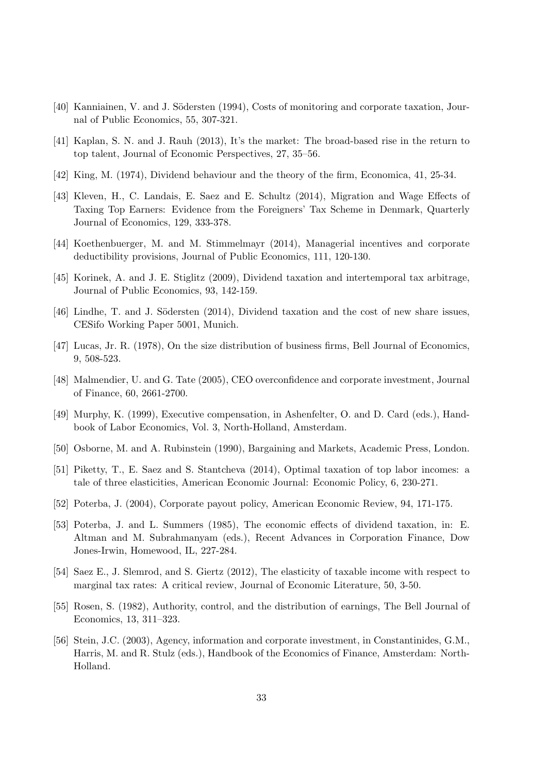- [40] Kanniainen, V. and J. Södersten (1994), Costs of monitoring and corporate taxation, Journal of Public Economics, 55, 307-321.
- [41] Kaplan, S. N. and J. Rauh (2013), It's the market: The broad-based rise in the return to top talent, Journal of Economic Perspectives, 27, 35–56.
- [42] King, M. (1974), Dividend behaviour and the theory of the firm, Economica, 41, 25-34.
- [43] Kleven, H., C. Landais, E. Saez and E. Schultz (2014), Migration and Wage Effects of Taxing Top Earners: Evidence from the Foreigners' Tax Scheme in Denmark, Quarterly Journal of Economics, 129, 333-378.
- [44] Koethenbuerger, M. and M. Stimmelmayr (2014), Managerial incentives and corporate deductibility provisions, Journal of Public Economics, 111, 120-130.
- [45] Korinek, A. and J. E. Stiglitz (2009), Dividend taxation and intertemporal tax arbitrage, Journal of Public Economics, 93, 142-159.
- [46] Lindhe, T. and J. Södersten (2014), Dividend taxation and the cost of new share issues, CESifo Working Paper 5001, Munich.
- [47] Lucas, Jr. R. (1978), On the size distribution of business firms, Bell Journal of Economics, 9, 508-523.
- [48] Malmendier, U. and G. Tate (2005), CEO overconfidence and corporate investment, Journal of Finance, 60, 2661-2700.
- [49] Murphy, K. (1999), Executive compensation, in Ashenfelter, O. and D. Card (eds.), Handbook of Labor Economics, Vol. 3, North-Holland, Amsterdam.
- [50] Osborne, M. and A. Rubinstein (1990), Bargaining and Markets, Academic Press, London.
- [51] Piketty, T., E. Saez and S. Stantcheva (2014), Optimal taxation of top labor incomes: a tale of three elasticities, American Economic Journal: Economic Policy, 6, 230-271.
- [52] Poterba, J. (2004), Corporate payout policy, American Economic Review, 94, 171-175.
- [53] Poterba, J. and L. Summers (1985), The economic effects of dividend taxation, in: E. Altman and M. Subrahmanyam (eds.), Recent Advances in Corporation Finance, Dow Jones-Irwin, Homewood, IL, 227-284.
- [54] Saez E., J. Slemrod, and S. Giertz (2012), The elasticity of taxable income with respect to marginal tax rates: A critical review, Journal of Economic Literature, 50, 3-50.
- [55] Rosen, S. (1982), Authority, control, and the distribution of earnings, The Bell Journal of Economics, 13, 311–323.
- [56] Stein, J.C. (2003), Agency, information and corporate investment, in Constantinides, G.M., Harris, M. and R. Stulz (eds.), Handbook of the Economics of Finance, Amsterdam: North-Holland.